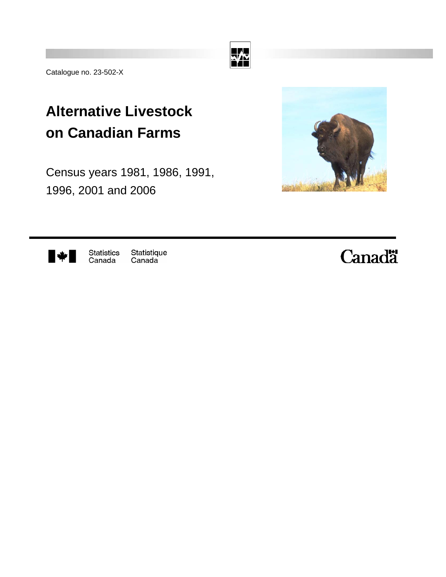

Catalogue no. 23-502-X

## **Alternative Livestock on Canadian Farms**

Census years 1981, 1986, 1991, 1996, 2001 and 2006





Statistics<br>Canada Statistique Canada

# **Canadä**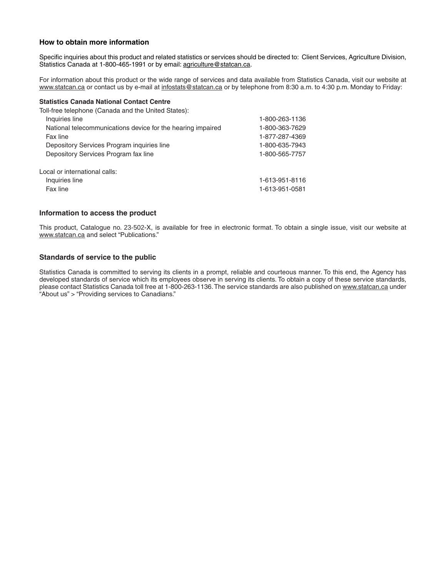#### **How to obtain more information**

Specific inquiries about this product and related statistics or services should be directed to: Client Services, Agriculture Division, Statistics Canada at 1-800-465-1991 or by email: agriculture@statcan.ca.

For information about this product or the wide range of services and data available from Statistics Canada, visit our website at www.statcan.ca or contact us by e-mail at infostats@statcan.ca or by telephone from 8:30 a.m. to 4:30 p.m. Monday to Friday:

#### **Statistics Canada National Contact Centre**

| 1-800-263-1136 |
|----------------|
| 1-800-363-7629 |
| 1-877-287-4369 |
| 1-800-635-7943 |
| 1-800-565-7757 |
|                |
| 1-613-951-8116 |
| 1-613-951-0581 |
|                |

#### **Information to access the product**

This product, Catalogue no. 23-502-X, is available for free in electronic format. To obtain a single issue, visit our website at www.statcan.ca and select "Publications."

#### **Standards of service to the public**

Statistics Canada is committed to serving its clients in a prompt, reliable and courteous manner. To this end, the Agency has developed standards of service which its employees observe in serving its clients. To obtain a copy of these service standards, please contact Statistics Canada toll free at 1-800-263-1136. The service standards are also published on www.statcan.ca under "About us" > "Providing services to Canadians."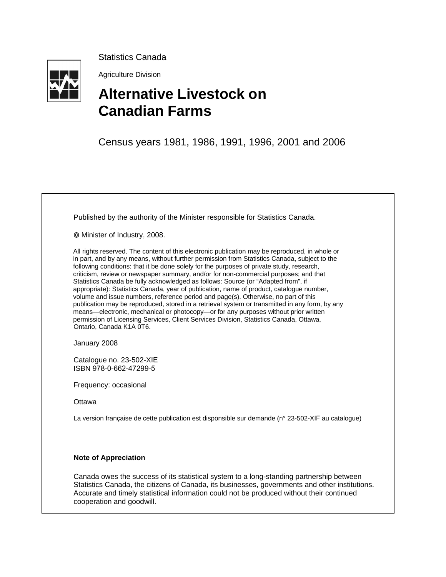

Statistics Canada

Agriculture Division

## **Alternative Livestock on Canadian Farms**

Census years 1981, 1986, 1991, 1996, 2001 and 2006

Published by the authority of the Minister responsible for Statistics Canada.

© Minister of Industry, 2008.

All rights reserved. The content of this electronic publication may be reproduced, in whole or in part, and by any means, without further permission from Statistics Canada, subject to the following conditions: that it be done solely for the purposes of private study, research, criticism, review or newspaper summary, and/or for non-commercial purposes; and that Statistics Canada be fully acknowledged as follows: Source (or "Adapted from", if appropriate): Statistics Canada, year of publication, name of product, catalogue number, volume and issue numbers, reference period and page(s). Otherwise, no part of this publication may be reproduced, stored in a retrieval system or transmitted in any form, by any means—electronic, mechanical or photocopy—or for any purposes without prior written permission of Licensing Services, Client Services Division, Statistics Canada, Ottawa, Ontario, Canada K1A 0T6.

January 2008

Catalogue no. 23-502-XIE ISBN 978-0-662-47299-5

Frequency: occasional

**Ottawa** 

La version française de cette publication est disponsible sur demande (n° 23-502-XIF au catalogue)

#### **Note of Appreciation**

Canada owes the success of its statistical system to a long-standing partnership between Statistics Canada, the citizens of Canada, its businesses, governments and other institutions. Accurate and timely statistical information could not be produced without their continued cooperation and goodwill.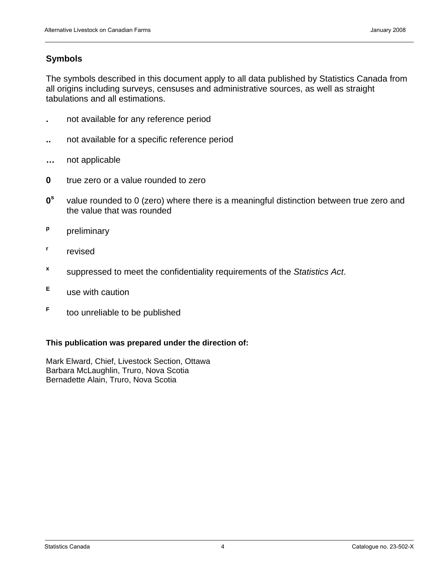## **Symbols**

The symbols described in this document apply to all data published by Statistics Canada from all origins including surveys, censuses and administrative sources, as well as straight tabulations and all estimations.

- **.** not available for any reference period
- **..** not available for a specific reference period
- **…** not applicable
- **0** true zero or a value rounded to zero
- **0s** value rounded to 0 (zero) where there is a meaningful distinction between true zero and the value that was rounded
- **p** preliminary
- **r** revised
- **<sup>x</sup>** suppressed to meet the confidentiality requirements of the *Statistics Act*.
- **<sup>E</sup>**use with caution
- **<sup>F</sup>**too unreliable to be published

### **This publication was prepared under the direction of:**

Mark Elward, Chief, Livestock Section, Ottawa Barbara McLaughlin, Truro, Nova Scotia Bernadette Alain, Truro, Nova Scotia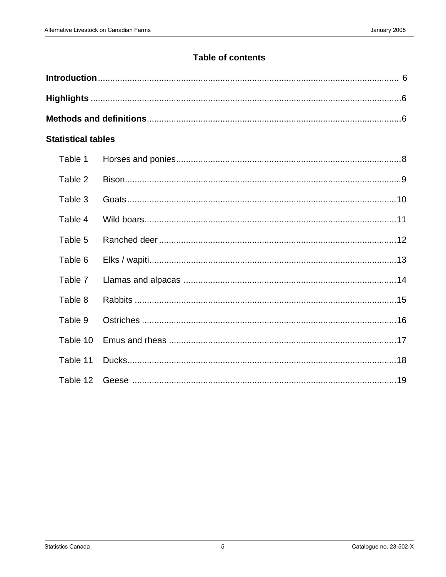## **Table of contents**

| <b>Statistical tables</b> |  |
|---------------------------|--|
| Table 1                   |  |
| Table 2                   |  |
| Table 3                   |  |
| Table 4                   |  |
| Table 5                   |  |
| Table 6                   |  |
| Table 7                   |  |
| Table 8                   |  |
| Table 9                   |  |
| Table 10                  |  |
| Table 11                  |  |
| Table 12                  |  |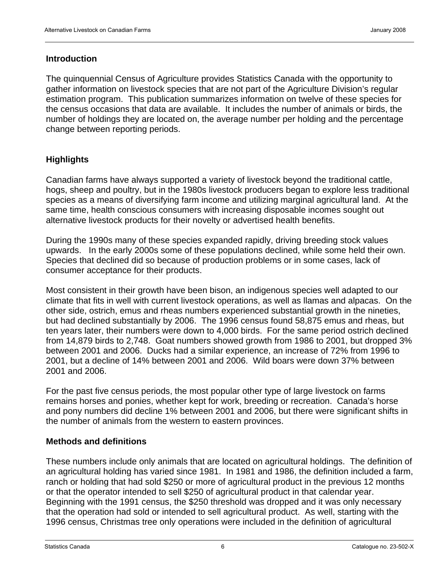## <span id="page-5-0"></span>**Introduction**

The quinquennial Census of Agriculture provides Statistics Canada with the opportunity to gather information on livestock species that are not part of the Agriculture Division's regular estimation program. This publication summarizes information on twelve of these species for the census occasions that data are available. It includes the number of animals or birds, the number of holdings they are located on, the average number per holding and the percentage change between reporting periods.

## **Highlights**

Canadian farms have always supported a variety of livestock beyond the traditional cattle, hogs, sheep and poultry, but in the 1980s livestock producers began to explore less traditional species as a means of diversifying farm income and utilizing marginal agricultural land. At the same time, health conscious consumers with increasing disposable incomes sought out alternative livestock products for their novelty or advertised health benefits.

During the 1990s many of these species expanded rapidly, driving breeding stock values upwards. In the early 2000s some of these populations declined, while some held their own. Species that declined did so because of production problems or in some cases, lack of consumer acceptance for their products.

Most consistent in their growth have been bison, an indigenous species well adapted to our climate that fits in well with current livestock operations, as well as llamas and alpacas. On the other side, ostrich, emus and rheas numbers experienced substantial growth in the nineties, but had declined substantially by 2006. The 1996 census found 58,875 emus and rheas, but ten years later, their numbers were down to 4,000 birds. For the same period ostrich declined from 14,879 birds to 2,748. Goat numbers showed growth from 1986 to 2001, but dropped 3% between 2001 and 2006. Ducks had a similar experience, an increase of 72% from 1996 to 2001, but a decline of 14% between 2001 and 2006. Wild boars were down 37% between 2001 and 2006.

For the past five census periods, the most popular other type of large livestock on farms remains horses and ponies, whether kept for work, breeding or recreation. Canada's horse and pony numbers did decline 1% between 2001 and 2006, but there were significant shifts in the number of animals from the western to eastern provinces.

## **Methods and definitions**

These numbers include only animals that are located on agricultural holdings. The definition of an agricultural holding has varied since 1981. In 1981 and 1986, the definition included a farm, ranch or holding that had sold \$250 or more of agricultural product in the previous 12 months or that the operator intended to sell \$250 of agricultural product in that calendar year. Beginning with the 1991 census, the \$250 threshold was dropped and it was only necessary that the operation had sold or intended to sell agricultural product. As well, starting with the 1996 census, Christmas tree only operations were included in the definition of agricultural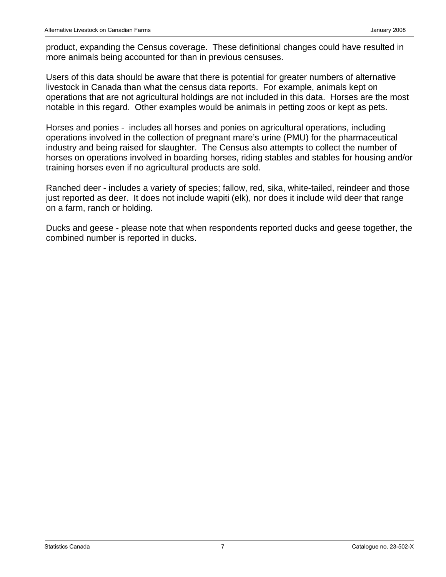product, expanding the Census coverage. These definitional changes could have resulted in more animals being accounted for than in previous censuses.

Users of this data should be aware that there is potential for greater numbers of alternative livestock in Canada than what the census data reports. For example, animals kept on operations that are not agricultural holdings are not included in this data. Horses are the most notable in this regard. Other examples would be animals in petting zoos or kept as pets.

Horses and ponies - includes all horses and ponies on agricultural operations, including operations involved in the collection of pregnant mare's urine (PMU) for the pharmaceutical industry and being raised for slaughter. The Census also attempts to collect the number of horses on operations involved in boarding horses, riding stables and stables for housing and/or training horses even if no agricultural products are sold.

Ranched deer - includes a variety of species; fallow, red, sika, white-tailed, reindeer and those just reported as deer. It does not include wapiti (elk), nor does it include wild deer that range on a farm, ranch or holding.

Ducks and geese - please note that when respondents reported ducks and geese together, the combined number is reported in ducks.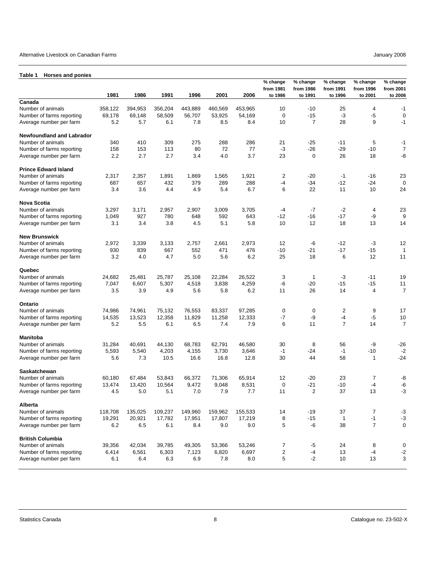#### <span id="page-7-0"></span>Alternative Livestock on Canadian Farms January 2008

#### **Table 1 Horses and ponies**

|                                  |         |         |         |         |         |         | % change<br>from 1981 | % change<br>from 1986 | % change<br>from 1991 | % change<br>from 1996 | % change<br>from 2001 |
|----------------------------------|---------|---------|---------|---------|---------|---------|-----------------------|-----------------------|-----------------------|-----------------------|-----------------------|
| Canada                           | 1981    | 1986    | 1991    | 1996    | 2001    | 2006    | to 1986               | to 1991               | to 1996               | to 2001               | to 2006               |
| Number of animals                | 358,122 | 394,953 | 356,204 | 443,889 | 460,569 | 453,965 | 10                    | $-10$                 | 25                    | 4                     | $-1$                  |
| Number of farms reporting        | 69,178  | 69,148  | 58,509  | 56,707  | 53,925  | 54,169  | 0                     | $-15$                 | $-3$                  | $-5$                  | $\mathbf 0$           |
| Average number per farm          | 5.2     | 5.7     | 6.1     | 7.8     | 8.5     | 8.4     | 10                    | 7                     | 28                    | 9                     | $-1$                  |
|                                  |         |         |         |         |         |         |                       |                       |                       |                       |                       |
| <b>Newfoundland and Labrador</b> |         |         |         |         |         |         |                       |                       |                       |                       |                       |
| Number of animals                | 340     | 410     | 309     | 275     | 288     | 286     | 21                    | $-25$                 | $-11$                 | 5                     | -1                    |
| Number of farms reporting        | 158     | 153     | 113     | 80      | 72      | 77      | -3                    | $-26$                 | $-29$                 | $-10$                 | $\overline{7}$        |
| Average number per farm          | 2.2     | 2.7     | 2.7     | 3.4     | 4.0     | 3.7     | 23                    | $\mathbf 0$           | 26                    | 18                    | -8                    |
| <b>Prince Edward Island</b>      |         |         |         |         |         |         |                       |                       |                       |                       |                       |
| Number of animals                | 2,317   | 2,357   | 1,891   | 1,869   | 1,565   | 1,921   | $\overline{c}$        | $-20$                 | -1                    | -16                   | 23                    |
| Number of farms reporting        | 687     | 657     | 432     | 379     | 289     | 288     | -4                    | $-34$                 | $-12$                 | $-24$                 | $\mathbf 0$           |
| Average number per farm          | 3.4     | 3.6     | 4.4     | 4.9     | 5.4     | 6.7     | 6                     | 22                    | 11                    | 10                    | 24                    |
| <b>Nova Scotia</b>               |         |         |         |         |         |         |                       |                       |                       |                       |                       |
| Number of animals                | 3,297   | 3,171   | 2,957   | 2,907   | 3,009   | 3,705   | -4                    | $-7$                  | $-2$                  | 4                     | 23                    |
|                                  |         |         |         |         |         |         |                       |                       |                       |                       |                       |
| Number of farms reporting        | 1,049   | 927     | 780     | 648     | 592     | 643     | $-12$                 | $-16$                 | $-17$                 | -9                    | 9                     |
| Average number per farm          | 3.1     | 3.4     | 3.8     | 4.5     | 5.1     | 5.8     | 10                    | 12                    | 18                    | 13                    | 14                    |
| <b>New Brunswick</b>             |         |         |         |         |         |         |                       |                       |                       |                       |                       |
| Number of animals                | 2,972   | 3,339   | 3,133   | 2,757   | 2,661   | 2,973   | 12                    | -6                    | $-12$                 | $-3$                  | 12                    |
| Number of farms reporting        | 930     | 839     | 667     | 552     | 471     | 476     | $-10$                 | $-21$                 | $-17$                 | $-15$                 | 1                     |
| Average number per farm          | 3.2     | 4.0     | 4.7     | 5.0     | 5.6     | 6.2     | 25                    | 18                    | 6                     | 12                    | 11                    |
| Quebec                           |         |         |         |         |         |         |                       |                       |                       |                       |                       |
| Number of animals                | 24,682  | 25,481  | 25.787  | 25,108  | 22,284  | 26,522  | 3                     | $\mathbf{1}$          | -3                    | $-11$                 | 19                    |
| Number of farms reporting        | 7,047   | 6,607   | 5,307   | 4,518   | 3,838   | 4,259   | -6                    | $-20$                 | $-15$                 | $-15$                 | 11                    |
| Average number per farm          | 3.5     | 3.9     | 4.9     | 5.6     | 5.8     | 6.2     | 11                    | 26                    | 14                    | 4                     | $\overline{7}$        |
| Ontario                          |         |         |         |         |         |         |                       |                       |                       |                       |                       |
|                                  |         |         |         |         |         |         |                       |                       |                       |                       |                       |
| Number of animals                | 74,986  | 74,961  | 75,132  | 76,553  | 83,337  | 97,285  | 0                     | 0                     | $\overline{2}$        | 9                     | 17                    |
| Number of farms reporting        | 14,535  | 13,523  | 12,358  | 11,829  | 11,258  | 12,333  | $-7$                  | -9                    | -4                    | -5                    | 10                    |
| Average number per farm          | 5.2     | 5.5     | 6.1     | 6.5     | 7.4     | 7.9     | 6                     | 11                    | $\overline{7}$        | 14                    | $\overline{7}$        |
| Manitoba                         |         |         |         |         |         |         |                       |                       |                       |                       |                       |
| Number of animals                | 31,284  | 40,691  | 44,130  | 68,783  | 62,791  | 46,580  | 30                    | 8                     | 56                    | -9                    | $-26$                 |
| Number of farms reporting        | 5,593   | 5,540   | 4,203   | 4,155   | 3,730   | 3,646   | $-1$                  | $-24$                 | -1                    | $-10$                 | $-2$                  |
| Average number per farm          | 5.6     | 7.3     | 10.5    | 16.6    | 16.8    | 12.8    | 30                    | 44                    | 58                    | $\mathbf{1}$          | $-24$                 |
| Saskatchewan                     |         |         |         |         |         |         |                       |                       |                       |                       |                       |
| Number of animals                | 60,180  | 67,484  | 53,843  | 66,372  | 71,306  | 65,914  | 12                    | $-20$                 | 23                    | $\boldsymbol{7}$      | -8                    |
| Number of farms reporting        | 13,474  | 13,420  | 10,564  | 9,472   | 9,048   | 8,531   | $\mathbf 0$           | $-21$                 | -10                   | $-4$                  | -6                    |
| Average number per farm          | 4.5     | 5.0     | 5.1     | 7.0     | 7.9     | 7.7     | 11                    | 2                     | 37                    | 13                    | $-3$                  |
|                                  |         |         |         |         |         |         |                       |                       |                       |                       |                       |
| Alberta                          |         |         |         |         |         |         |                       |                       |                       |                       |                       |
| Number of animals                | 118,708 | 135,025 | 109,237 | 149,960 | 159,962 | 155,533 | 14                    | $-19$                 | 37                    | $\overline{7}$        | $-3$                  |
| Number of farms reporting        | 19,291  | 20,921  | 17,782  | 17,951  | 17,807  | 17,219  | 8                     | $-15$                 | $\mathbf{1}$          | $-1$                  | $-3$                  |
| Average number per farm          | 6.2     | 6.5     | 6.1     | 8.4     | 9.0     | 9.0     | 5                     | -6                    | 38                    | $\overline{7}$        | $\pmb{0}$             |
| <b>British Columbia</b>          |         |         |         |         |         |         |                       |                       |                       |                       |                       |
| Number of animals                | 39,356  | 42,034  | 39,785  | 49,305  | 53,366  | 53,246  | 7                     | $-5$                  | 24                    | 8                     | 0                     |
| Number of farms reporting        | 6,414   | 6,561   | 6,303   | 7,123   | 6,820   | 6,697   | 2                     | $\textbf{-4}$         | 13                    | -4                    | $-2$                  |
| Average number per farm          | 6.1     | 6.4     | 6.3     | 6.9     | 7.8     | 8.0     | 5                     | $-2$                  | 10                    | 13                    | 3                     |
|                                  |         |         |         |         |         |         |                       |                       |                       |                       |                       |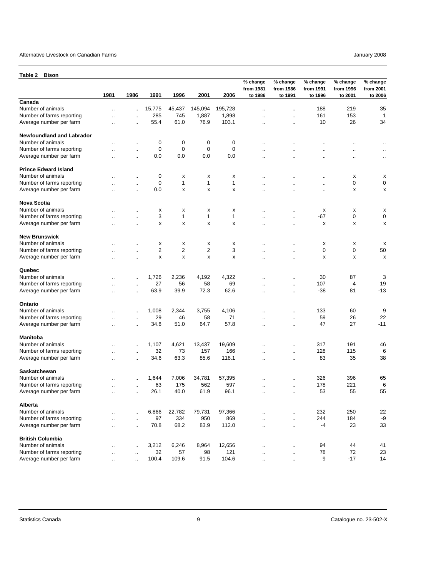<span id="page-8-0"></span>

| Table 2<br><b>Bison</b>                      |                                   |                                              |        |              |                |              |                                  |                                              |                                  |                                  |                                  |
|----------------------------------------------|-----------------------------------|----------------------------------------------|--------|--------------|----------------|--------------|----------------------------------|----------------------------------------------|----------------------------------|----------------------------------|----------------------------------|
|                                              | 1981                              | 1986                                         | 1991   | 1996         | 2001           | 2006         | % change<br>from 1981<br>to 1986 | % change<br>from 1986<br>to 1991             | % change<br>from 1991<br>to 1996 | % change<br>from 1996<br>to 2001 | % change<br>from 2001<br>to 2006 |
| Canada                                       |                                   |                                              |        |              |                |              |                                  |                                              |                                  |                                  |                                  |
| Number of animals                            | ٠.                                | ä.                                           | 15,775 | 45,437       | 145,094        | 195,728      | ٠.                               | $\ddotsc$                                    | 188                              | 219                              | 35                               |
| Number of farms reporting                    | $\ddotsc$                         | $\ddotsc$                                    | 285    | 745          | 1,887          | 1,898        | $\ddotsc$                        | $\ddot{\phantom{a}}$                         | 161                              | 153                              | $\mathbf 1$                      |
| Average number per farm                      | $\sim$                            | $\ddot{\phantom{a}}$                         | 55.4   | 61.0         | 76.9           | 103.1        | $\ddot{\phantom{a}}$             | $\ddot{\phantom{a}}$                         | 10                               | 26                               | 34                               |
| <b>Newfoundland and Labrador</b>             |                                   |                                              |        |              |                |              |                                  |                                              |                                  |                                  |                                  |
| Number of animals                            |                                   | $\ddotsc$                                    | 0      | 0            | 0              | 0            | $\ddotsc$                        |                                              |                                  |                                  |                                  |
| Number of farms reporting                    |                                   | μ.                                           | 0      | 0            | $\mathbf 0$    | $\mathbf 0$  |                                  |                                              | ٠.                               |                                  |                                  |
| Average number per farm                      | $\ddotsc$                         | $\ddotsc$                                    | 0.0    | 0.0          | 0.0            | 0.0          | $\ddotsc$                        | $\ddotsc$                                    | $\ddot{\phantom{a}}$             | $\ddotsc$                        | $\ddotsc$                        |
| <b>Prince Edward Island</b>                  |                                   |                                              |        |              |                |              |                                  |                                              |                                  |                                  |                                  |
| Number of animals                            |                                   | $\mathbf{r}$ .                               | 0      | х            | х              | х            |                                  |                                              |                                  | х                                | х                                |
| Number of farms reporting                    | $\ddot{\phantom{a}}$              | $\mathbf{r}$ .                               | 0      | $\mathbf{1}$ | 1              | 1            |                                  | ٠.                                           | $\ddot{\phantom{0}}$             | 0                                | 0                                |
| Average number per farm                      |                                   | $\mathbf{r}$ .                               | 0.0    | x            | x              | X            | $\ddotsc$                        | $\ddotsc$                                    | $\ddot{\phantom{a}}$             | x                                | x                                |
| <b>Nova Scotia</b>                           |                                   |                                              |        |              |                |              |                                  |                                              |                                  |                                  |                                  |
| Number of animals                            |                                   | $\ddot{\phantom{a}}$                         | х      | х            | x              | х            |                                  | $\ddot{\phantom{a}}$                         | х                                | х                                | x                                |
| Number of farms reporting                    |                                   |                                              | 3      | 1            | 1              | $\mathbf{1}$ |                                  |                                              | $-67$                            | 0                                | 0                                |
| Average number per farm                      |                                   | $\ddot{\phantom{a}}$                         |        |              |                |              |                                  | $\ddotsc$                                    |                                  |                                  |                                  |
|                                              |                                   |                                              | х      | х            | х              | x            |                                  | $\ddot{\phantom{0}}$                         | х                                | х                                | x                                |
| <b>New Brunswick</b>                         |                                   |                                              |        |              |                |              |                                  |                                              |                                  |                                  |                                  |
| Number of animals                            |                                   |                                              | х      | х            | х              | х            |                                  | $\ddotsc$                                    | х                                | х                                | x                                |
| Number of farms reporting                    | $\ddot{\phantom{a}}$              | $\ddotsc$                                    | 2      | 2            | $\overline{2}$ | 3            | ٠.                               | $\ddotsc$                                    | 0                                | 0                                | 50                               |
| Average number per farm                      | $\ddotsc$                         | $\ddot{\phantom{a}}$                         | x      | x            | x              | x            | $\ddot{\phantom{a}}$             | $\ddot{\phantom{a}}$                         | x                                | х                                | X                                |
| Quebec                                       |                                   |                                              |        |              |                |              |                                  |                                              |                                  |                                  |                                  |
| Number of animals                            |                                   | $\ldots$                                     | 1,726  | 2,236        | 4,192          | 4,322        |                                  | $\ddotsc$                                    | 30                               | 87                               | 3                                |
| Number of farms reporting                    |                                   | $\ddotsc$                                    | 27     | 56           | 58             | 69           | ٠.                               | $\ddot{\phantom{a}}$                         | 107                              | 4                                | 19                               |
| Average number per farm                      | $\ddot{\phantom{a}}$              | $\ddot{\phantom{a}}$                         | 63.9   | 39.9         | 72.3           | 62.6         | $\ddotsc$                        | $\ddot{\phantom{a}}$                         | $-38$                            | 81                               | $-13$                            |
| Ontario                                      |                                   |                                              |        |              |                |              |                                  |                                              |                                  |                                  |                                  |
| Number of animals                            |                                   | $\ddot{\phantom{a}}$                         | 1,008  | 2,344        | 3,755          | 4,106        |                                  | ä.                                           | 133                              | 60                               | 9                                |
| Number of farms reporting                    |                                   | $\ddotsc$                                    | 29     | 46           | 58             | 71           |                                  | $\ddotsc$                                    | 59                               | 26                               | 22                               |
| Average number per farm                      | $\ddot{\phantom{a}}$              | $\ddotsc$                                    | 34.8   | 51.0         | 64.7           | 57.8         | $\ddotsc$                        | $\ddotsc$                                    | 47                               | 27                               | $-11$                            |
| <b>Manitoba</b>                              |                                   |                                              |        |              |                |              |                                  |                                              |                                  |                                  |                                  |
| Number of animals                            |                                   | $\ldots$                                     | 1,107  | 4,621        | 13,437         | 19,609       |                                  | $\ddotsc$                                    | 317                              | 191                              | 46                               |
| Number of farms reporting                    |                                   | $\ldots$                                     | 32     | 73           | 157            | 166          |                                  | $\ddotsc$                                    | 128                              | 115                              | 6                                |
| Average number per farm                      | $\ddotsc$                         | $\ddot{\phantom{a}}$                         | 34.6   | 63.3         | 85.6           | 118.1        | ٠.                               | $\ddotsc$                                    | 83                               | 35                               | 38                               |
| <b>Saskatchewan</b>                          |                                   |                                              |        |              |                |              |                                  |                                              |                                  |                                  |                                  |
| Number of animals                            |                                   | $\ddotsc$                                    | 1,644  | 7,006        | 34,781         | 57,395       |                                  | $\ddotsc$                                    | 326                              | 396                              | 65                               |
| Number of farms reporting                    |                                   |                                              | 63     | 175          | 562            | 597          |                                  |                                              | 178                              | 221                              | 6                                |
| Average number per farm                      | $\ddotsc$                         | $\ddot{\phantom{0}}$<br>$\ddotsc$            | 26.1   | 40.0         | 61.9           | 96.1         | ٠.                               | $\ddot{\phantom{0}}$<br>$\ddot{\phantom{a}}$ | 53                               | 55                               | 55                               |
| Alberta                                      |                                   |                                              |        |              |                |              |                                  |                                              |                                  |                                  |                                  |
| Number of animals                            |                                   |                                              | 6,866  | 22,782       | 79,731         | 97,366       |                                  |                                              | 232                              | 250                              | 22                               |
| Number of farms reporting                    |                                   | $\ddot{\phantom{a}}$                         | 97     | 334          | 950            | 869          | $\ddot{\phantom{a}}$             | ä.                                           | 244                              | 184                              | -9                               |
| Average number per farm                      | $\ddotsc$<br>$\ddot{\phantom{a}}$ | $\ddot{\phantom{a}}$<br>$\ddot{\phantom{a}}$ | 70.8   | 68.2         | 83.9           | 112.0        | $\ddot{\phantom{a}}$             | $\ddotsc$<br>$\ddot{\phantom{a}}$            | $-4$                             | 23                               | 33                               |
|                                              |                                   |                                              |        |              |                |              | $\ddotsc$                        |                                              |                                  |                                  |                                  |
| <b>British Columbia</b><br>Number of animals |                                   |                                              |        |              |                |              |                                  |                                              |                                  | 44                               |                                  |
|                                              | Ω.                                | $\ddot{\phantom{a}}$                         | 3,212  | 6,246        | 8,964          | 12,656       | $\ddot{\phantom{a}}$             | $\ddotsc$                                    | 94                               |                                  | 41                               |
| Number of farms reporting                    | $\ddotsc$                         | $\ddot{\phantom{a}}$                         | 32     | 57           | 98             | 121          | $\ddot{\phantom{a}}$             | $\ddot{\phantom{a}}$                         | 78                               | 72                               | 23                               |
| Average number per farm                      | $\ddotsc$                         | $\ddot{\phantom{a}}$                         | 100.4  | 109.6        | 91.5           | 104.6        | $\ddotsc$                        | $\cdot$ .                                    | 9                                | $-17$                            | 14                               |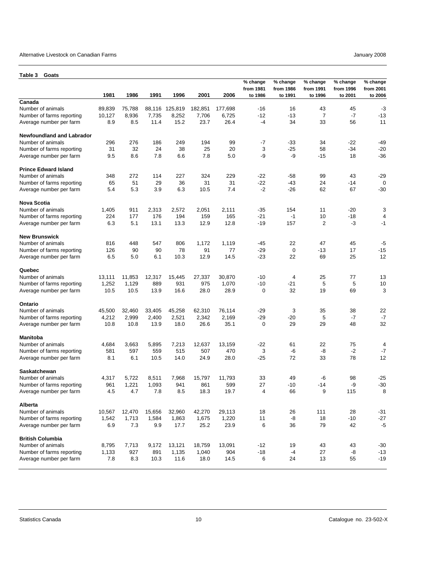#### <span id="page-9-0"></span>Alternative Livestock on Canadian Farms **Alternative Livestock on Canadian Farms** January 2008

| Table 3<br>Goats                 |        |        |        |         |         |         |                                  |                                  |                                  |                                  |                                  |
|----------------------------------|--------|--------|--------|---------|---------|---------|----------------------------------|----------------------------------|----------------------------------|----------------------------------|----------------------------------|
|                                  | 1981   | 1986   | 1991   | 1996    | 2001    | 2006    | % change<br>from 1981<br>to 1986 | % change<br>from 1986<br>to 1991 | % change<br>from 1991<br>to 1996 | % change<br>from 1996<br>to 2001 | % change<br>from 2001<br>to 2006 |
| Canada                           |        |        |        |         |         |         |                                  |                                  |                                  |                                  |                                  |
| Number of animals                | 89,839 | 75,788 | 88,116 | 125,819 | 182,851 | 177,698 | -16                              | 16                               | 43                               | 45                               | $-3$                             |
| Number of farms reporting        | 10,127 | 8,936  | 7,735  | 8,252   | 7,706   | 6,725   | $-12$                            | -13                              | $\overline{7}$                   | -7                               | -13                              |
| Average number per farm          | 8.9    | 8.5    | 11.4   | 15.2    | 23.7    | 26.4    | $-4$                             | 34                               | 33                               | 56                               | 11                               |
| <b>Newfoundland and Labrador</b> |        |        |        |         |         |         |                                  |                                  |                                  |                                  |                                  |
| Number of animals                | 296    | 276    | 186    | 249     | 194     | 99      | $-7$                             | $-33$                            | 34                               | $-22$                            | -49                              |
| Number of farms reporting        | 31     | 32     | 24     | 38      | 25      | 20      | 3                                | $-25$                            | 58                               | -34                              | $-20$                            |
| Average number per farm          | 9.5    | 8.6    | 7.8    | 6.6     | 7.8     | 5.0     | -9                               | -9                               | $-15$                            | 18                               | $-36$                            |
| <b>Prince Edward Island</b>      |        |        |        |         |         |         |                                  |                                  |                                  |                                  |                                  |
| Number of animals                | 348    | 272    | 114    | 227     | 324     | 229     | $-22$                            | -58                              | 99                               | 43                               | -29                              |
| Number of farms reporting        | 65     | 51     | 29     | 36      | 31      | 31      | $-22$                            | -43                              | 24                               | -14                              | $\mathbf 0$                      |
| Average number per farm          | 5.4    | 5.3    | 3.9    | 6.3     | 10.5    | 7.4     | $-2$                             | $-26$                            | 62                               | 67                               | $-30$                            |
| <b>Nova Scotia</b>               |        |        |        |         |         |         |                                  |                                  |                                  |                                  |                                  |
| Number of animals                | 1,405  | 911    | 2,313  | 2,572   | 2,051   | 2,111   | $-35$                            | 154                              | 11                               | $-20$                            | 3                                |
| Number of farms reporting        | 224    | 177    | 176    | 194     | 159     | 165     | $-21$                            | $-1$                             | 10                               | $-18$                            | 4                                |
| Average number per farm          | 6.3    | 5.1    | 13.1   | 13.3    | 12.9    | 12.8    | -19                              | 157                              | 2                                | -3                               | $-1$                             |
| <b>New Brunswick</b>             |        |        |        |         |         |         |                                  |                                  |                                  |                                  |                                  |
| Number of animals                | 816    | 448    | 547    | 806     | 1,172   | 1,119   | -45                              | 22                               | 47                               | 45                               | $-5$                             |
| Number of farms reporting        | 126    | 90     | 90     | 78      | 91      | 77      | $-29$                            | $\mathbf 0$                      | $-13$                            | 17                               | $-15$                            |
| Average number per farm          | 6.5    | 5.0    | 6.1    | 10.3    | 12.9    | 14.5    | $-23$                            | 22                               | 69                               | 25                               | 12                               |
| Quebec                           |        |        |        |         |         |         |                                  |                                  |                                  |                                  |                                  |
| Number of animals                | 13,111 | 11,853 | 12,317 | 15,445  | 27,337  | 30,870  | -10                              | 4                                | 25                               | 77                               | 13                               |
| Number of farms reporting        | 1,252  | 1,129  | 889    | 931     | 975     | 1,070   | $-10$                            | $-21$                            | 5                                | 5                                | 10                               |
| Average number per farm          | 10.5   | 10.5   | 13.9   | 16.6    | 28.0    | 28.9    | 0                                | 32                               | 19                               | 69                               | 3                                |
| Ontario                          |        |        |        |         |         |         |                                  |                                  |                                  |                                  |                                  |
| Number of animals                | 45,500 | 32,460 | 33,405 | 45,258  | 62,310  | 76,114  | $-29$                            | 3                                | 35                               | 38                               | 22                               |
| Number of farms reporting        | 4,212  | 2,999  | 2,400  | 2,521   | 2,342   | 2,169   | $-29$                            | $-20$                            | 5                                | -7                               | $-7$                             |
| Average number per farm          | 10.8   | 10.8   | 13.9   | 18.0    | 26.6    | 35.1    | $\mathbf 0$                      | 29                               | 29                               | 48                               | 32                               |
| <b>Manitoba</b>                  |        |        |        |         |         |         |                                  |                                  |                                  |                                  |                                  |
| Number of animals                | 4,684  | 3,663  | 5,895  | 7,213   | 12,637  | 13,159  | $-22$                            | 61                               | 22                               | 75                               | 4                                |
| Number of farms reporting        | 581    | 597    | 559    | 515     | 507     | 470     | 3                                | -6                               | -8                               | -2                               | $-7$                             |
| Average number per farm          | 8.1    | 6.1    | 10.5   | 14.0    | 24.9    | 28.0    | $-25$                            | 72                               | 33                               | 78                               | 12                               |
| Saskatchewan                     |        |        |        |         |         |         |                                  |                                  |                                  |                                  |                                  |
| Number of animals                | 4,317  | 5,722  | 8,511  | 7,968   | 15,797  | 11,793  | 33                               | 49                               | -6                               | 98                               | $-25$                            |
| Number of farms reporting        | 961    | 1,221  | 1,093  | 941     | 861     | 599     | 27                               | $-10$                            | -14                              | -9                               | $-30$                            |
| Average number per farm          | 4.5    | 4.7    | 7.8    | 8.5     | 18.3    | 19.7    | 4                                | 66                               | 9                                | 115                              | 8                                |
| Alberta                          |        |        |        |         |         |         |                                  |                                  |                                  |                                  |                                  |
| Number of animals                | 10,567 | 12,470 | 15,656 | 32,960  | 42,270  | 29,113  | 18                               | 26                               | 111                              | 28                               | $-31$                            |
| Number of farms reporting        | 1,542  | 1,713  | 1,584  | 1,863   | 1,675   | 1,220   | 11                               | -8                               | 18                               | $-10$                            | $-27$                            |
| Average number per farm          | 6.9    | 7.3    | 9.9    | 17.7    | 25.2    | 23.9    | 6                                | 36                               | 79                               | 42                               | $-5$                             |
| <b>British Columbia</b>          |        |        |        |         |         |         |                                  |                                  |                                  |                                  |                                  |
| Number of animals                | 8,795  | 7,713  | 9,172  | 13,121  | 18,759  | 13,091  | $-12$                            | 19                               | 43                               | 43                               | $-30$                            |
| Number of farms reporting        | 1,133  | 927    | 891    | 1,135   | 1,040   | 904     | $-18$                            | $-4$                             | 27                               | -8                               | -13                              |
| Average number per farm          | 7.8    | 8.3    | 10.3   | 11.6    | 18.0    | 14.5    | 6                                | 24                               | 13                               | 55                               | -19                              |
|                                  |        |        |        |         |         |         |                                  |                                  |                                  |                                  |                                  |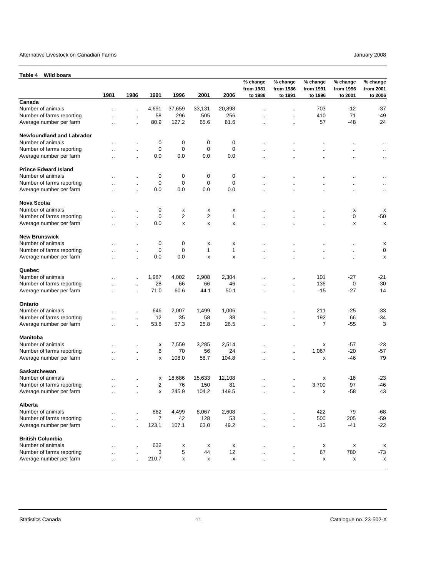<span id="page-10-0"></span>

| <b>Wild boars</b><br>Table 4                         |                      |                             |                     |             |              |              |                                  |                                  |                                  |                                  |                                  |
|------------------------------------------------------|----------------------|-----------------------------|---------------------|-------------|--------------|--------------|----------------------------------|----------------------------------|----------------------------------|----------------------------------|----------------------------------|
|                                                      | 1981                 | 1986                        | 1991                | 1996        | 2001         | 2006         | % change<br>from 1981<br>to 1986 | % change<br>from 1986<br>to 1991 | % change<br>from 1991<br>to 1996 | % change<br>from 1996<br>to 2001 | % change<br>from 2001<br>to 2006 |
| Canada                                               |                      |                             |                     |             |              |              |                                  |                                  |                                  |                                  |                                  |
| Number of animals                                    | Ξ.                   | $\ddotsc$                   | 4,691               | 37,659      | 33,131       | 20,898       |                                  | ٠.                               | 703                              | $-12$                            | $-37$                            |
| Number of farms reporting                            |                      | $\ldots$                    | 58                  | 296         | 505          | 256          | $\ddot{\phantom{a}}$             | $\ddotsc$                        | 410                              | 71                               | $-49$                            |
| Average number per farm                              | ٠.                   | $\ddot{\phantom{0}}$        | 80.9                | 127.2       | 65.6         | 81.6         | $\ddotsc$                        | $\ddot{\phantom{0}}$             | 57                               | $-48$                            | 24                               |
| <b>Newfoundland and Labrador</b>                     |                      |                             |                     |             |              |              |                                  |                                  |                                  |                                  |                                  |
| Number of animals                                    |                      | Ω,                          | 0                   | 0           | $\mathbf 0$  | 0            | $\ddotsc$                        |                                  |                                  | Ω.                               | $\cdot$ .                        |
| Number of farms reporting                            | Ω.                   | $\ddot{\phantom{a}}$        | $\mathbf 0$         | $\mathbf 0$ | $\mathbf 0$  | $\mathbf 0$  | $\ddotsc$                        | $\ddot{\phantom{a}}$             | $\ddotsc$                        | Ω,                               |                                  |
| Average number per farm                              | $\ddot{\phantom{a}}$ | $\ddot{\phantom{a}}$        | 0.0                 | 0.0         | 0.0          | 0.0          | $\ddot{\phantom{a}}$             | $\ddot{\phantom{a}}$             | $\ddot{\phantom{a}}$             | $\ddotsc$                        | $\ldots$<br>$\mathbf{r}$ .       |
| <b>Prince Edward Island</b>                          |                      |                             |                     |             |              |              |                                  |                                  |                                  |                                  |                                  |
| Number of animals                                    |                      |                             | 0                   | 0           | 0            | 0            |                                  |                                  |                                  |                                  |                                  |
|                                                      |                      | $\ddotsc$                   |                     |             |              | $\mathbf 0$  |                                  |                                  | $\ddotsc$                        |                                  | $\ddotsc$                        |
| Number of farms reporting                            |                      | $\ddotsc$                   | 0                   | 0           | 0            |              |                                  |                                  | ٠.                               |                                  | $\ddot{\phantom{0}}$             |
| Average number per farm                              | ٠.                   | ٠.                          | 0.0                 | 0.0         | 0.0          | 0.0          | $\ddotsc$                        |                                  | $\ddotsc$                        | $\ddot{\phantom{0}}$             | $\ddot{\phantom{0}}$             |
| <b>Nova Scotia</b>                                   |                      |                             |                     |             |              |              |                                  |                                  |                                  |                                  |                                  |
| Number of animals                                    | $\ddot{\phantom{a}}$ | $\ddotsc$                   | 0                   | х           | х            | х            | $\ddotsc$                        | $\ddot{\phantom{a}}$             | $\ddot{\phantom{a}}$             | х                                | х                                |
| Number of farms reporting                            | ٠.                   | $\ddotsc$                   | 0                   | 2           | 2            | 1            | $\ddot{\phantom{a}}$             |                                  | $\ddotsc$                        | 0                                | $-50$                            |
| Average number per farm                              |                      | $\ddotsc$                   | 0.0                 | x           | x            | x            | $\ddotsc$                        |                                  | $\ddotsc$                        | x                                | X                                |
| <b>New Brunswick</b>                                 |                      |                             |                     |             |              |              |                                  |                                  |                                  |                                  |                                  |
| Number of animals                                    |                      | $\ddotsc$                   | 0                   | 0           | x            | x            |                                  |                                  | $\ddot{\phantom{a}}$             |                                  | X                                |
| Number of farms reporting                            | $\ddot{\phantom{a}}$ | ä.                          | 0                   | 0           | 1            | $\mathbf{1}$ | $\ddot{\phantom{a}}$             | $\ddot{\phantom{a}}$             | $\ddotsc$                        | $\ddotsc$                        | 0                                |
| Average number per farm                              | $\ddot{\phantom{a}}$ | $\ddot{\phantom{a}}$        | 0.0                 | 0.0         | x            | x            | $\ddotsc$                        | $\ddot{\phantom{a}}$             | $\ddot{\phantom{a}}$             | $\ddotsc$                        | X                                |
| Quebec                                               |                      |                             |                     |             |              |              |                                  |                                  |                                  |                                  |                                  |
|                                                      |                      |                             |                     |             |              |              |                                  |                                  |                                  |                                  |                                  |
| Number of animals                                    |                      | $\ddotsc$                   | 1,987               | 4,002       | 2,908        | 2,304        |                                  | ٠.                               | 101                              | $-27$                            | -21                              |
| Number of farms reporting                            |                      | $\ddot{\phantom{a}}$        | 28                  | 66          | 66           | 46           |                                  | $\ddotsc$                        | 136                              | 0                                | $-30$                            |
| Average number per farm                              | $\ddotsc$            | $\ddotsc$                   | 71.0                | 60.6        | 44.1         | 50.1         | $\ddotsc$                        | $\ldots$                         | $-15$                            | $-27$                            | 14                               |
| Ontario                                              |                      |                             |                     |             |              |              |                                  |                                  |                                  |                                  |                                  |
| Number of animals                                    |                      | $\ddot{\phantom{a}}$        | 646                 | 2,007       | 1,499        | 1,006        |                                  | $\ddot{\phantom{a}}$             | 211                              | $-25$                            | -33                              |
| Number of farms reporting                            |                      | $\ddot{\phantom{a}}$        | 12                  | 35          | 58           | 38           | $\ddotsc$                        | $\ddotsc$                        | 192                              | 66                               | $-34$                            |
| Average number per farm                              |                      | $\ddot{\phantom{a}}$        | 53.8                | 57.3        | 25.8         | 26.5         | $\ddotsc$                        | $\ddot{\phantom{a}}$             | 7                                | $-55$                            | 3                                |
| <b>Manitoba</b>                                      |                      |                             |                     |             |              |              |                                  |                                  |                                  |                                  |                                  |
| Number of animals                                    |                      |                             | х                   | 7,559       | 3,285        | 2,514        |                                  |                                  | х                                | $-57$                            | $-23$                            |
| Number of farms reporting                            |                      | $\ddotsc$                   | 6                   | 70          | 56           | 24           | $\ddotsc$                        | $\ddotsc$                        | 1,067                            | $-20$                            | $-57$                            |
| Average number per farm                              |                      | ٠.                          | x                   | 108.0       | 58.7         | 104.8        |                                  | $\ddot{\phantom{a}}$             | х                                | $-46$                            | 79                               |
| <b>Saskatchewan</b>                                  |                      |                             |                     |             |              |              |                                  |                                  |                                  |                                  |                                  |
| Number of animals                                    |                      |                             |                     | 18,686      | 15,633       | 12.108       |                                  |                                  | х                                | -16                              | $-23$                            |
|                                                      | ٠.                   |                             | х                   |             |              |              | $\ddot{\phantom{a}}$             | $\ddot{\phantom{0}}$             |                                  |                                  | $-46$                            |
| Number of farms reporting<br>Average number per farm |                      | $\ddotsc$<br>$\ddotsc$      | $\overline{2}$<br>x | 76<br>245.9 | 150<br>104.2 | 81<br>149.5  | $\ddotsc$                        | $\ddotsc$<br>$\ddotsc$           | 3,700<br>х                       | 97<br>$-58$                      | 43                               |
|                                                      |                      |                             |                     |             |              |              |                                  |                                  |                                  |                                  |                                  |
| Alberta                                              |                      |                             |                     |             |              |              |                                  |                                  |                                  |                                  |                                  |
| Number of animals                                    | $\ddot{\phantom{a}}$ | ä.                          | 862                 | 4,499       | 8,067        | 2,608        |                                  | Ш,                               | 422                              | 79                               | $-68$                            |
| Number of farms reporting                            |                      | $\mathcal{L}_{\mathcal{A}}$ | $\overline{7}$      | 42          | 128          | 53           | ш.                               | $\ddot{\phantom{a}}$             | 500                              | 205                              | $-59$                            |
| Average number per farm                              | $\ddot{\phantom{a}}$ | à.                          | 123.1               | 107.1       | 63.0         | 49.2         | $\mathcal{L}_{\mathcal{A}}$      | $\ddotsc$                        | $-13$                            | -41                              | $-22$                            |
| <b>British Columbia</b>                              |                      |                             |                     |             |              |              |                                  |                                  |                                  |                                  |                                  |
| Number of animals                                    | $\ddotsc$            | $\ldots$                    | 632                 | x           | X            | X            | $\ddot{\phantom{a}}$             | $\ddotsc$                        | x                                | X                                | x                                |
| Number of farms reporting                            | $\ddotsc$            | $\ddot{\phantom{a}}$        | 3                   | 5           | 44           | 12           | $\ddotsc$                        | $\ddot{\phantom{a}}$             | 67                               | 780                              | -73                              |
| Average number per farm                              | $\ddot{\phantom{a}}$ |                             | 210.7               | x           | х            | X            | $\ddotsc$                        | $\ddotsc$                        | x                                | X                                | x                                |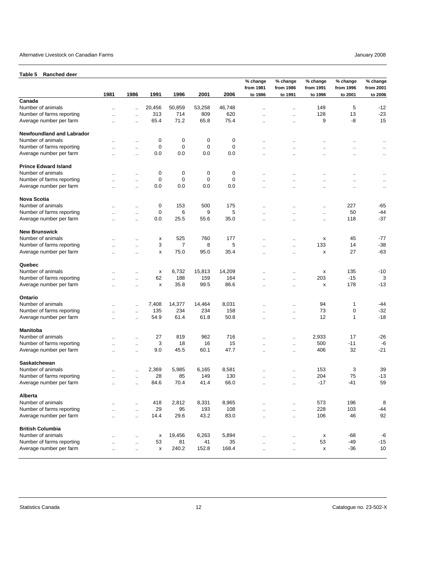#### <span id="page-11-0"></span>Alternative Livestock on Canadian Farms **Facture 10** and the set of the set of the set of the set of the set of the set of the set of the set of the set of the set of the set of the set of the set of the set of the set of

**Table 5 Ranched deer**

|                                  |      |                      |                    |                |             |        | % change<br>from 1981 | % change<br>from 1986 | % change<br>from 1991 | % change<br>from 1996 | % change<br>from 2001 |
|----------------------------------|------|----------------------|--------------------|----------------|-------------|--------|-----------------------|-----------------------|-----------------------|-----------------------|-----------------------|
|                                  | 1981 | 1986                 | 1991               | 1996           | 2001        | 2006   | to 1986               | to 1991               | to 1996               | to 2001               | to 2006               |
| Canada                           |      |                      |                    |                |             |        |                       |                       |                       |                       |                       |
| Number of animals                | ä.   | $\ddot{\phantom{a}}$ | 20,456             | 50,859         | 53,258      | 46,748 | $\ddot{\phantom{a}}$  | $\ddot{\phantom{a}}$  | 149                   | 5                     | $-12$                 |
| Number of farms reporting        | ä.   | $\ddot{\phantom{a}}$ | 313                | 714            | 809         | 620    | $\ddot{\phantom{a}}$  | $\ddotsc$             | 128                   | 13                    | $-23$                 |
| Average number per farm          | Ω.   | $\ddot{\phantom{a}}$ | 65.4               | 71.2           | 65.8        | 75.4   | $\ddot{\phantom{a}}$  | ä.                    | 9                     | -8                    | 15                    |
| <b>Newfoundland and Labrador</b> |      |                      |                    |                |             |        |                       |                       |                       |                       |                       |
| Number of animals                | ٠.   | $\ddotsc$            | 0                  | 0              | 0           | 0      | $\ddotsc$             | ٠.                    | $\ddot{\phantom{a}}$  | ٠.                    | $\ddotsc$             |
| Number of farms reporting        |      | $\mathbf{r}$         | 0                  | $\mathbf 0$    | 0           | 0      | ٠.                    |                       |                       |                       | $\mathbf{r}$          |
| Average number per farm          | Ω.   | $\mathbf{r}$         | 0.0                | 0.0            | 0.0         | 0.0    | $\ddotsc$             | ٠.                    | $\ddotsc$             | $\ddot{\phantom{a}}$  | $\ddotsc$             |
| <b>Prince Edward Island</b>      |      |                      |                    |                |             |        |                       |                       |                       |                       |                       |
| Number of animals                |      | $\ddotsc$            | 0                  | 0              | 0           | 0      | $\ddot{\phantom{a}}$  | ٠.                    | $\ddotsc$             |                       | $\ddotsc$             |
| Number of farms reporting        | ٠.   | $\ddotsc$            | 0                  | $\mathbf 0$    | $\mathbf 0$ | 0      | ٠.                    | $\ddot{\phantom{a}}$  | $\ddotsc$             |                       | $\cdot$ .             |
| Average number per farm          | ٠.   | $\ddotsc$            | 0.0                | 0.0            | 0.0         | 0.0    | ٠.                    |                       | $\ddotsc$             | $\ddot{\phantom{a}}$  | $\ddotsc$             |
| Nova Scotia                      |      |                      |                    |                |             |        |                       |                       |                       |                       |                       |
| Number of animals                |      | $\ddotsc$            | 0                  | 153            | 500         | 175    |                       | ٠.                    | $\ddotsc$             | 227                   | -65                   |
| Number of farms reporting        |      | $\ddotsc$            | 0                  | 6              | 9           | 5      |                       |                       | $\cdot$ .             | 50                    | -44                   |
| Average number per farm          | ٠.   | $\mathbf{r}$         | 0.0                | 25.5           | 55.6        | 35.0   | ٠.                    | $\ddot{\phantom{a}}$  | $\ddotsc$             | 118                   | $-37$                 |
| <b>New Brunswick</b>             |      |                      |                    |                |             |        |                       |                       |                       |                       |                       |
| Number of animals                |      |                      | x                  | 525            | 760         | 177    |                       | $\ddot{\phantom{a}}$  | x                     | 45                    | -77                   |
| Number of farms reporting        | Ω.   | $\ddotsc$            | 3                  | $\overline{7}$ | 8           | 5      | $\ddot{\phantom{a}}$  | $\ddot{\phantom{a}}$  | 133                   | 14                    | $-38$                 |
| Average number per farm          | Ω.   | $\ddot{\phantom{a}}$ | x                  | 75.0           | 95.0        | 35.4   | $\ddot{\phantom{a}}$  | ä.                    | x                     | 27                    | $-63$                 |
| Quebec                           |      |                      |                    |                |             |        |                       |                       |                       |                       |                       |
| Number of animals                |      | $\ddotsc$            | x                  | 6,732          | 15,813      | 14,209 |                       | $\ddotsc$             | x                     | 135                   | $-10$                 |
| Number of farms reporting        | Ω.   | $\ddot{\phantom{a}}$ | 62                 | 188            | 159         | 164    | $\ddot{\phantom{a}}$  | ä.                    | 203                   | $-15$                 | 3                     |
| Average number per farm          | Ω.   | $\ddotsc$            | x                  | 35.8           | 99.5        | 86.6   | $\ddot{\phantom{a}}$  | ä.                    | X                     | 178                   | $-13$                 |
| Ontario                          |      |                      |                    |                |             |        |                       |                       |                       |                       |                       |
| Number of animals                |      | $\mathbf{r}$         | 7,408              | 14,377         | 14,464      | 8,031  | ٠.                    | Ω.                    | 94                    | 1                     | -44                   |
| Number of farms reporting        |      | $\mathbf{r}$ .       | 135                | 234            | 234         | 158    | $\ddotsc$             | ä.                    | 73                    | $\mathbf 0$           | $-32$                 |
| Average number per farm          | Ω.   | $\ddotsc$            | 54.9               | 61.4           | 61.8        | 50.8   | $\ddotsc$             | $\ddotsc$             | 12                    | $\mathbf{1}$          | $-18$                 |
| Manitoba                         |      |                      |                    |                |             |        |                       |                       |                       |                       |                       |
| Number of animals                |      | $\ddotsc$            | 27                 | 819            | 962         | 716    | ٠.                    | ä.                    | 2,933                 | 17                    | $-26$                 |
| Number of farms reporting        |      | $\ddotsc$            | 3                  | 18             | 16          | 15     | $\ddot{\phantom{a}}$  | $\ddotsc$             | 500                   | $-11$                 | -6                    |
| Average number per farm          | ٠.   | $\mathbf{r}$         | 9.0                | 45.5           | 60.1        | 47.7   | $\ddotsc$             | $\ddot{\phantom{a}}$  | 406                   | 32                    | $-21$                 |
| Saskatchewan                     |      |                      |                    |                |             |        |                       |                       |                       |                       |                       |
| Number of animals                | ٠.   | $\ddotsc$            | 2,369              | 5,985          | 6,165       | 8,581  |                       | $\ddot{\phantom{a}}$  | 153                   | 3                     | 39                    |
| Number of farms reporting        |      | $\ddotsc$            | 28                 | 85             | 149         | 130    | $\ddot{\phantom{a}}$  | $\cdot$ .             | 204                   | 75                    | -13                   |
| Average number per farm          | Ω.   | $\ddotsc$            | 84.6               | 70.4           | 41.4        | 66.0   | $\ddotsc$             | $\mathbf{r}$          | $-17$                 | -41                   | 59                    |
| Alberta                          |      |                      |                    |                |             |        |                       |                       |                       |                       |                       |
| Number of animals                | ٠.   | $\cdot$ .            | 418                | 2,812          | 8,331       | 8,965  | $\cdot$               | $\cdot$               | 573                   | 196                   | 8                     |
| Number of farms reporting        | Ω.   | $\ddotsc$            | 29                 | 95             | 193         | 108    | μ.                    | $\ddotsc$             | 228                   | 103                   | $-44$                 |
| Average number per farm          | Ω.   | $\mathbf{r}$         | 14.4               | 29.6           | 43.2        | 83.0   | ä.                    | ä,                    | 106                   | 46                    | 92                    |
| <b>British Columbia</b>          |      |                      |                    |                |             |        |                       |                       |                       |                       |                       |
| Number of animals                |      |                      | X                  | 19,456         | 6,263       | 5,894  |                       | Ω.                    | x                     | $-68$                 | -6                    |
| Number of farms reporting        | ä.   | $\bar{\mathbf{r}}$   | 53                 | 81             | 41          | 35     | Ω.                    | ä,                    | 53                    | $-49$                 | -15                   |
| Average number per farm          | ä.   | $\ddotsc$            | $\pmb{\mathsf{x}}$ | 240.2          | 152.8       | 168.4  | $\ddot{\phantom{a}}$  | ä.                    | X                     | -36                   | 10                    |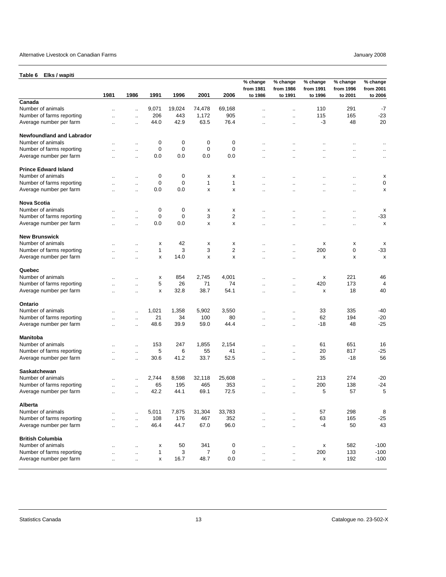<span id="page-12-0"></span>

| Elks / wapiti<br>Table 6         |                      |                      |              |             |             |           |                                  |                                  |                                  |                                  |                                  |
|----------------------------------|----------------------|----------------------|--------------|-------------|-------------|-----------|----------------------------------|----------------------------------|----------------------------------|----------------------------------|----------------------------------|
|                                  | 1981                 | 1986                 | 1991         | 1996        | 2001        | 2006      | % change<br>from 1981<br>to 1986 | % change<br>from 1986<br>to 1991 | % change<br>from 1991<br>to 1996 | % change<br>from 1996<br>to 2001 | % change<br>from 2001<br>to 2006 |
| Canada                           |                      |                      |              |             |             |           |                                  |                                  |                                  |                                  |                                  |
| Number of animals                | μ.                   |                      | 9,071        | 19,024      | 74,478      | 69,168    |                                  | Ω,                               | 110                              | 291                              | $-7$                             |
| Number of farms reporting        |                      | μ.                   | 206          | 443         | 1,172       | 905       | $\ddot{\phantom{a}}$             | $\ddotsc$                        | 115                              | 165                              | $-23$                            |
| Average number per farm          |                      |                      | 44.0         | 42.9        | 63.5        | 76.4      | ٠.                               | $\ddotsc$                        | -3                               | 48                               | 20                               |
| <b>Newfoundland and Labrador</b> |                      |                      |              |             |             |           |                                  |                                  |                                  |                                  |                                  |
| Number of animals                |                      | Ω,                   | 0            | 0           | 0           | 0         | ٠.                               |                                  | Ω.                               | ٠.                               | $\cdot$ .                        |
| Number of farms reporting        | μ.                   | μ.                   | $\mathbf 0$  | $\mathbf 0$ | $\mathbf 0$ | 0         | μ.                               | Ω,                               | $\ddot{\phantom{a}}$             | $\ddot{\phantom{a}}$             | $\cdot$ .                        |
| Average number per farm          | $\ddot{\phantom{a}}$ | μ.                   | 0.0          | 0.0         | 0.0         | 0.0       | $\ddot{\phantom{a}}$             | $\ddot{\phantom{a}}$             | $\ddot{\phantom{a}}$             | $\ddot{\phantom{a}}$             | $\ddotsc$                        |
| <b>Prince Edward Island</b>      |                      |                      |              |             |             |           |                                  |                                  |                                  |                                  |                                  |
| Number of animals                |                      |                      | 0            | 0           | х           | х         |                                  |                                  |                                  |                                  | X                                |
| Number of farms reporting        |                      |                      | $\mathbf 0$  | $\mathbf 0$ | 1           | 1         |                                  |                                  | ٠.                               |                                  | 0                                |
| Average number per farm          |                      | ٠.                   | 0.0          | 0.0         | x           | х         | ٠.                               |                                  | $\ddotsc$                        | $\ddot{\phantom{0}}$             | х                                |
| <b>Nova Scotia</b>               |                      |                      |              |             |             |           |                                  |                                  |                                  |                                  |                                  |
| Number of animals                | $\ddot{\phantom{a}}$ | Ω,                   | 0            | 0           | х           | x         | $\ddotsc$                        | $\ddot{\phantom{a}}$             | $\ddot{\phantom{a}}$             | $\ddot{\phantom{0}}$             | х                                |
| Number of farms reporting        |                      |                      | $\mathbf 0$  | $\mathbf 0$ | 3           | 2         | μ.                               |                                  | $\ddotsc$                        | $\ddotsc$                        | $-33$                            |
| Average number per farm          |                      | $\ddotsc$            | 0.0          | 0.0         | x           | x         | $\ddot{\phantom{0}}$             |                                  | $\ddot{\phantom{0}}$             | $\ddot{\phantom{0}}$             | х                                |
| <b>New Brunswick</b>             |                      |                      |              |             |             |           |                                  |                                  |                                  |                                  |                                  |
| Number of animals                |                      | ٠.                   | х            | 42          | X           | х         |                                  |                                  | х                                | х                                | х                                |
| Number of farms reporting        |                      |                      | 1            | 3           | 3           | 2         |                                  | $\ddot{\phantom{a}}$             | 200                              | 0                                | $-33$                            |
| Average number per farm          | $\ddot{\phantom{a}}$ | μ.                   | x            | 14.0        | x           | x         | $\ddot{\phantom{a}}$             | $\ddot{\phantom{a}}$             | x                                | x                                | x                                |
|                                  | $\ddot{\phantom{a}}$ | $\ddot{\phantom{a}}$ |              |             |             |           | $\ddot{\phantom{a}}$             | $\ddot{\phantom{a}}$             |                                  |                                  |                                  |
| Quebec                           |                      |                      |              |             |             |           |                                  |                                  |                                  |                                  |                                  |
| Number of animals                |                      | ٠.                   | х            | 854         | 2.745       | 4,001     |                                  | ٠.                               | х                                | 221                              | 46                               |
| Number of farms reporting        |                      | μ.                   | 5            | 26          | 71          | 74        | $\ddot{\phantom{a}}$             | $\ddotsc$                        | 420                              | 173                              | $\overline{4}$                   |
| Average number per farm          | ٠.                   | $\ddot{\phantom{0}}$ | х            | 32.8        | 38.7        | 54.1      | $\ddotsc$                        | $\ddotsc$                        | x                                | 18                               | 40                               |
| Ontario                          |                      |                      |              |             |             |           |                                  |                                  |                                  |                                  |                                  |
| Number of animals                |                      |                      | 1,021        | 1,358       | 5,902       | 3,550     |                                  | ä.                               | 33                               | 335                              | $-40$                            |
| Number of farms reporting        |                      |                      | 21           | 34          | 100         | 80        | μ.                               | $\ddotsc$                        | 62                               | 194                              | $-20$                            |
| Average number per farm          |                      | $\ddot{\phantom{a}}$ | 48.6         | 39.9        | 59.0        | 44.4      | $\ddotsc$                        | $\ddotsc$                        | $-18$                            | 48                               | $-25$                            |
| <b>Manitoba</b>                  |                      |                      |              |             |             |           |                                  |                                  |                                  |                                  |                                  |
| Number of animals                |                      | $\ddotsc$            | 153          | 247         | 1,855       | 2,154     |                                  |                                  | 61                               | 651                              | 16                               |
| Number of farms reporting        | ٠.                   | $\ddotsc$            | 5            | 6           | 55          | 41        | ٠.                               |                                  | 20                               | 817                              | $-25$                            |
| Average number per farm          | μ.                   | μ,                   | 30.6         | 41.2        | 33.7        | 52.5      |                                  | Ω,                               | 35                               | $-18$                            | 56                               |
| Saskatchewan                     |                      |                      |              |             |             |           |                                  |                                  |                                  |                                  |                                  |
| Number of animals                | ٠.                   |                      | 2,744        | 8,598       | 32,118      | 25,608    | $\ddotsc$                        |                                  | 213                              | 274                              | $-20$                            |
| Number of farms reporting        |                      | $\ddotsc$            | 65           | 195         | 465         | 353       |                                  | $\ddotsc$                        | 200                              | 138                              | $-24$                            |
| Average number per farm          |                      |                      | 42.2         | 44.1        | 69.1        | 72.5      | $\ddotsc$                        | $\ddotsc$                        | 5                                | 57                               | 5                                |
| Alberta                          |                      |                      |              |             |             |           |                                  |                                  |                                  |                                  |                                  |
| Number of animals                |                      | μ.                   | 5,011        | 7,875       | 31,304      | 33,783    | $\ddot{\phantom{a}}$             |                                  | 57                               | 298                              | 8                                |
| Number of farms reporting        | $\mathbf{r}$         | $\ddot{\phantom{a}}$ | 108          | 176         | 467         | 352       | $\ddot{\phantom{a}}$             | $\ddot{\phantom{a}}$             | 63                               | 165                              | $-25$                            |
| Average number per farm          | $\ddot{\phantom{a}}$ | $\ddot{\phantom{a}}$ | 46.4         | 44.7        | 67.0        | 96.0      | $\ddotsc$                        | $\ddot{\phantom{a}}$             | $-4$                             | 50                               | 43                               |
| <b>British Columbia</b>          |                      |                      |              |             |             |           |                                  |                                  |                                  |                                  |                                  |
| Number of animals                | μ.                   | $\ddotsc$            | х            | 50          | 341         | $\pmb{0}$ | μ.                               |                                  | $\pmb{\mathsf{x}}$               | 582                              | $-100$                           |
| Number of farms reporting        | Ω.                   | $\ddotsc$            | $\mathbf{1}$ | 3           | 7           | 0         | $\ddotsc$                        | $\ldots$                         | 200                              | 133                              | $-100$                           |
| Average number per farm          | $\ldots$             | Ω,                   | х            | 16.7        | 48.7        | 0.0       | $\ldots$                         | $\ldots$                         | X                                | 192                              | $-100$                           |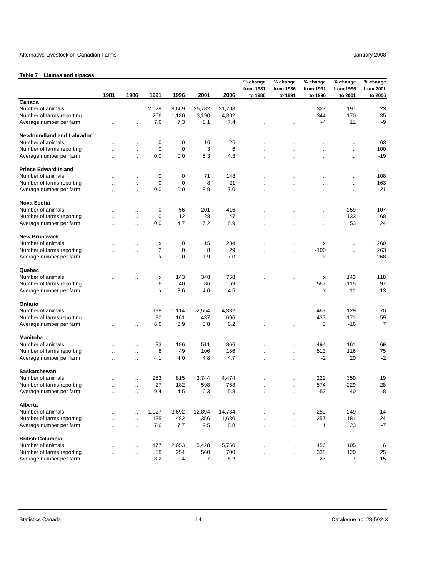#### <span id="page-13-0"></span>**Table 7 Llamas and alpacas**

|                                  | 1981                 | 1986                 | 1991  | 1996        | 2001   | 2006   | % change<br>from 1981<br>to 1986 | % change<br>from 1986<br>to 1991 | % change<br>from 1991<br>to 1996 | % change<br>from 1996<br>to 2001 | % change<br>from 2001<br>to 2006 |
|----------------------------------|----------------------|----------------------|-------|-------------|--------|--------|----------------------------------|----------------------------------|----------------------------------|----------------------------------|----------------------------------|
| Canada                           |                      |                      |       |             |        |        |                                  |                                  |                                  |                                  |                                  |
| Number of animals                | $\ddot{\phantom{a}}$ | $\mathbf{r}$ .       | 2,028 | 8,669       | 25,782 | 31,708 | $\ddot{\phantom{a}}$             | $\ddot{\phantom{a}}$             | 327                              | 197                              | 23                               |
| Number of farms reporting        |                      |                      | 266   | 1,180       | 3,190  | 4,302  |                                  |                                  | 344                              | 170                              | 35                               |
|                                  |                      | $\mathbf{r}$ .       |       |             |        | 7.4    |                                  | ٠.                               | -4                               | 11                               | -9                               |
| Average number per farm          |                      | $\ddot{\phantom{a}}$ | 7.6   | 7.3         | 8.1    |        | ä.                               |                                  |                                  |                                  |                                  |
| <b>Newfoundland and Labrador</b> |                      |                      |       |             |        |        |                                  |                                  |                                  |                                  |                                  |
| Number of animals                |                      | $\ddotsc$            | 0     | 0           | 16     | 26     | $\ddotsc$                        | ٠.                               | $\ddot{\phantom{a}}$             | $\ddotsc$                        | 63                               |
| Number of farms reporting        |                      | $\ddotsc$            | 0     | 0           | 3      | 6      | Ω.                               | $\ddot{\phantom{a}}$             | $\ddot{\phantom{a}}$             | ٠.                               | 100                              |
| Average number per farm          |                      | $\ddotsc$            | 0.0   | 0.0         | 5.3    | 4.3    |                                  |                                  |                                  |                                  | $-19$                            |
| <b>Prince Edward Island</b>      |                      |                      |       |             |        |        |                                  |                                  |                                  |                                  |                                  |
| Number of animals                |                      | $\ddotsc$            | 0     | 0           | 71     | 148    | $\ddotsc$                        | $\ddot{\phantom{a}}$             | $\ddot{\phantom{a}}$             | $\ddotsc$                        | 108                              |
| Number of farms reporting        |                      | $\ddot{\phantom{a}}$ | 0     | $\pmb{0}$   | 8      | 21     |                                  |                                  | $\ddotsc$                        | $\cdot$ .                        | 163                              |
| Average number per farm          |                      | $\ddot{\phantom{a}}$ | 0.0   | 0.0         | 8.9    | 7.0    | Ω.                               | $\ddot{\phantom{a}}$             | $\ddot{\phantom{a}}$             | $\ddotsc$                        | $-21$                            |
| Nova Scotia                      |                      |                      |       |             |        |        |                                  |                                  |                                  |                                  |                                  |
| Number of animals                |                      | $\ddotsc$            | 0     | 56          | 201    | 416    |                                  |                                  | $\ddot{\phantom{a}}$             | 259                              | 107                              |
| Number of farms reporting        |                      | $\ddot{\phantom{a}}$ | 0     | 12          | 28     | 47     |                                  |                                  | $\ddotsc$                        | 133                              | 68                               |
| Average number per farm          |                      | $\ddot{\phantom{a}}$ | 0.0   | 4.7         | 7.2    | 8.9    |                                  |                                  | $\ddotsc$                        | 53                               | 24                               |
| <b>New Brunswick</b>             |                      |                      |       |             |        |        |                                  |                                  |                                  |                                  |                                  |
| Number of animals                |                      |                      | X     | 0           | 15     | 204    |                                  |                                  | х                                |                                  | 1,260                            |
| Number of farms reporting        |                      | $\ddot{\phantom{a}}$ | 2     | $\mathbf 0$ | 8      | 29     |                                  |                                  | $-100$                           | ٠.                               | 263                              |
| Average number per farm          |                      | $\ldots$             |       | 0.0         | 1.9    | 7.0    |                                  |                                  |                                  | $\ldots$                         | 268                              |
|                                  | Ω.                   | $\ldots$             | x     |             |        |        | ٠.                               | $\ddotsc$                        | х                                | $\ldots$                         |                                  |
| Quebec                           |                      |                      |       |             |        |        |                                  |                                  |                                  |                                  |                                  |
| Number of animals                |                      | $\ddot{\phantom{a}}$ | x     | 143         | 348    | 758    |                                  | $\ddot{\phantom{0}}$             | х                                | 143                              | 118                              |
| Number of farms reporting        |                      | $\ddotsc$            | 6     | 40          | 86     | 169    |                                  | $\ddotsc$                        | 567                              | 115                              | 97                               |
| Average number per farm          |                      | $\ddotsc$            | x     | 3.6         | 4.0    | 4.5    | ٠.                               | ٠.                               | x                                | 11                               | 13                               |
| Ontario                          |                      |                      |       |             |        |        |                                  |                                  |                                  |                                  |                                  |
| Number of animals                |                      | $\ddot{\phantom{0}}$ | 198   | 1,114       | 2,554  | 4,332  |                                  | $\ddot{\phantom{0}}$             | 463                              | 129                              | 70                               |
| Number of farms reporting        |                      | $\ldots$             | 30    | 161         | 437    | 696    | $\ddot{\phantom{a}}$             | $\ddot{\phantom{a}}$             | 437                              | 171                              | 59                               |
| Average number per farm          | Ω.                   | $\ddot{\phantom{a}}$ | 6.6   | 6.9         | 5.8    | 6.2    | μ.                               | $\ddotsc$                        | 5                                | $-16$                            | $\overline{7}$                   |
| Manitoba                         |                      |                      |       |             |        |        |                                  |                                  |                                  |                                  |                                  |
| Number of animals                |                      |                      | 33    | 196         | 511    | 866    |                                  |                                  | 494                              | 161                              | 69                               |
|                                  |                      | $\ddotsc$            |       | 49          | 106    | 186    |                                  | $\ddot{\phantom{0}}$             | 513                              | 116                              | 75                               |
| Number of farms reporting        |                      | $\ddot{\phantom{1}}$ | 8     |             |        |        | $\ddot{\phantom{a}}$             | $\ddot{\phantom{1}}$             |                                  |                                  |                                  |
| Average number per farm          | $\ddot{\phantom{a}}$ | $\ldots$             | 4.1   | 4.0         | 4.8    | 4.7    | $\ddotsc$                        | $\ddotsc$                        | $-2$                             | 20                               | $-2$                             |
| Saskatchewan                     |                      |                      |       |             |        |        |                                  |                                  |                                  |                                  |                                  |
| Number of animals                |                      | $\ddotsc$            | 253   | 815         | 3,744  | 4,474  |                                  | ٠.                               | 222                              | 359                              | 19                               |
| Number of farms reporting        |                      | $\ddot{\phantom{a}}$ | 27    | 182         | 598    | 768    |                                  | $\ddot{\phantom{a}}$             | 574                              | 229                              | 28                               |
| Average number per farm          |                      | $\ddotsc$            | 9.4   | 4.5         | 6.3    | 5.8    | ٠.                               | ٠.                               | $-52$                            | 40                               | -8                               |
| Alberta                          |                      |                      |       |             |        |        |                                  |                                  |                                  |                                  |                                  |
| Number of animals                |                      | $\ldots$             | 1,027 | 3,692       | 12,894 | 14,734 |                                  | $\ddotsc$                        | 259                              | 249                              | 14                               |
| Number of farms reporting        |                      | $\ddotsc$            | 135   | 482         | 1,356  | 1,680  | $\ddot{\phantom{a}}$             | $\ddotsc$                        | 257                              | 181                              | 24                               |
| Average number per farm          |                      | $\ldots$             | 7.6   | 7.7         | 9.5    | 8.8    |                                  | $\ldots$                         | $\mathbf{1}$                     | 23                               | $-7$                             |
| <b>British Columbia</b>          |                      |                      |       |             |        |        |                                  |                                  |                                  |                                  |                                  |
| Number of animals                |                      |                      | 477   | 2,653       | 5,428  | 5,750  |                                  |                                  | 456                              | 105                              | 6                                |
| Number of farms reporting        | $\ddotsc$            | $\ldots$             | 58    | 254         | 560    | 700    | $\ddotsc$                        | $\cdot$ .                        | 338                              | 120                              | 25                               |
|                                  |                      | $\ldots$             |       |             |        |        | $\ddot{\phantom{0}}$             | $\ddotsc$                        |                                  |                                  |                                  |
| Average number per farm          |                      | $\ldots$             | 8.2   | 10.4        | 9.7    | 8.2    | $\ldots$                         |                                  | 27                               | $-7$                             | $-15$                            |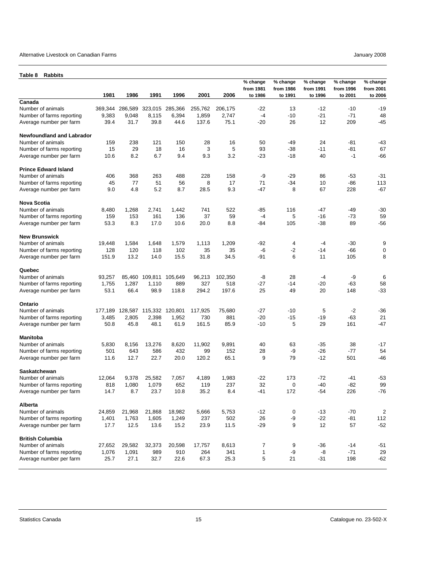#### <span id="page-14-0"></span>Alternative Livestock on Canadian Farms **Alternative Livestock on Canadian Farms** January 2008

| Table 8<br><b>Rabbits</b>                            |               |               |                         |                 |               |              |                                  |                                  |                                  |                                  |                                  |
|------------------------------------------------------|---------------|---------------|-------------------------|-----------------|---------------|--------------|----------------------------------|----------------------------------|----------------------------------|----------------------------------|----------------------------------|
|                                                      | 1981          | 1986          | 1991                    | 1996            | 2001          | 2006         | % change<br>from 1981<br>to 1986 | % change<br>from 1986<br>to 1991 | % change<br>from 1991<br>to 1996 | % change<br>from 1996<br>to 2001 | % change<br>from 2001<br>to 2006 |
| Canada                                               |               |               |                         |                 |               |              |                                  |                                  |                                  |                                  |                                  |
| Number of animals                                    | 369,344       | 286,589       |                         | 323,015 285,366 | 255,762       | 206,175      | $-22$                            | 13                               | $-12$                            | $-10$                            | $-19$                            |
| Number of farms reporting                            | 9,383         | 9,048         | 8,115                   | 6,394           | 1,859         | 2,747        | $-4$                             | -10                              | $-21$                            | $-71$                            | 48                               |
| Average number per farm                              | 39.4          | 31.7          | 39.8                    | 44.6            | 137.6         | 75.1         | $-20$                            | 26                               | 12                               | 209                              | $-45$                            |
| <b>Newfoundland and Labrador</b>                     |               |               |                         |                 |               |              |                                  |                                  |                                  |                                  |                                  |
| Number of animals                                    | 159           | 238           | 121                     | 150             | 28            | 16           | 50                               | -49                              | 24                               | $-81$                            | -43                              |
| Number of farms reporting                            | 15            | 29            | 18                      | 16              | 3             | 5            | 93                               | -38                              | -11                              | -81                              | 67                               |
| Average number per farm                              | 10.6          | 8.2           | 6.7                     | 9.4             | 9.3           | 3.2          | $-23$                            | $-18$                            | 40                               | $-1$                             | $-66$                            |
| <b>Prince Edward Island</b>                          |               |               |                         |                 |               |              |                                  |                                  |                                  |                                  |                                  |
| Number of animals                                    | 406           | 368           | 263                     | 488             | 228           | 158          | -9                               | $-29$                            | 86                               | -53                              | -31                              |
| Number of farms reporting                            | 45            | 77            | 51                      | 56              | 8             | 17           | 71                               | -34                              | 10                               | -86                              | 113                              |
| Average number per farm                              | 9.0           | 4.8           | 5.2                     | 8.7             | 28.5          | 9.3          | $-47$                            | 8                                | 67                               | 228                              | $-67$                            |
| <b>Nova Scotia</b>                                   |               |               |                         |                 |               |              |                                  |                                  |                                  |                                  |                                  |
| Number of animals                                    | 8,480         | 1,268         | 2,741                   | 1,442           | 741           | 522          | -85                              | 116                              | $-47$                            | -49                              | $-30$                            |
| Number of farms reporting                            | 159           | 153           | 161                     | 136             | 37            | 59           | $-4$                             | 5                                | -16                              | $-73$                            | 59                               |
| Average number per farm                              | 53.3          | 8.3           | 17.0                    | 10.6            | 20.0          | 8.8          | -84                              | 105                              | -38                              | 89                               | $-56$                            |
| <b>New Brunswick</b>                                 |               |               |                         |                 |               |              |                                  |                                  |                                  |                                  |                                  |
| Number of animals                                    | 19,448        | 1,584         | 1,648                   | 1,579           | 1,113         | 1,209        | $-92$                            | 4                                | $-4$                             | -30                              | 9                                |
| Number of farms reporting                            | 128           | 120           | 118                     | 102             | 35            | 35           | -6                               | $-2$                             | $-14$                            | $-66$                            | 0                                |
| Average number per farm                              | 151.9         | 13.2          | 14.0                    | 15.5            | 31.8          | 34.5         | $-91$                            | 6                                | 11                               | 105                              | 8                                |
|                                                      |               |               |                         |                 |               |              |                                  |                                  |                                  |                                  |                                  |
| Quebec<br>Number of animals                          |               |               |                         |                 |               |              | -8                               |                                  | $-4$                             |                                  |                                  |
|                                                      | 93,257        | 85,460        | 109,811                 | 105,649         | 96,213<br>327 | 102,350      | $-27$                            | 28<br>$-14$                      | -20                              | -9<br>-63                        | 6<br>58                          |
| Number of farms reporting<br>Average number per farm | 1,755<br>53.1 | 1,287<br>66.4 | 1,110<br>98.9           | 889<br>118.8    | 294.2         | 518<br>197.6 | 25                               | 49                               | 20                               | 148                              | $-33$                            |
|                                                      |               |               |                         |                 |               |              |                                  |                                  |                                  |                                  |                                  |
| Ontario                                              |               |               |                         |                 |               |              |                                  |                                  |                                  |                                  |                                  |
| Number of animals                                    | 177,189       |               | 128,587 115,332 120,801 |                 | 117,925       | 75,680       | -27                              | $-10$                            | 5                                | $-2$                             | $-36$                            |
| Number of farms reporting                            | 3,485         | 2,805         | 2,398                   | 1,952           | 730           | 881          | $-20$                            | $-15$                            | -19                              | -63                              | 21                               |
| Average number per farm                              | 50.8          | 45.8          | 48.1                    | 61.9            | 161.5         | 85.9         | $-10$                            | 5                                | 29                               | 161                              | $-47$                            |
| <b>Manitoba</b>                                      |               |               |                         |                 |               |              |                                  |                                  |                                  |                                  |                                  |
| Number of animals                                    | 5,830         | 8,156         | 13,276                  | 8,620           | 11,902        | 9,891        | 40                               | 63                               | -35                              | 38                               | $-17$                            |
| Number of farms reporting                            | 501           | 643           | 586                     | 432             | 99            | 152          | 28                               | -9                               | -26                              | -77                              | 54                               |
| Average number per farm                              | 11.6          | 12.7          | 22.7                    | 20.0            | 120.2         | 65.1         | 9                                | 79                               | $-12$                            | 501                              | $-46$                            |
| <b>Saskatchewan</b>                                  |               |               |                         |                 |               |              |                                  |                                  |                                  |                                  |                                  |
| Number of animals                                    | 12,064        | 9,378         | 25,582                  | 7,057           | 4,189         | 1,983        | $-22$                            | 173                              | $-72$                            | -41                              | $-53$                            |
| Number of farms reporting                            | 818           | 1,080         | 1,079                   | 652             | 119           | 237          | 32                               | 0                                | -40                              | -82                              | 99                               |
| Average number per farm                              | 14.7          | 8.7           | 23.7                    | 10.8            | 35.2          | 8.4          | -41                              | 172                              | -54                              | 226                              | $-76$                            |
| Alberta                                              |               |               |                         |                 |               |              |                                  |                                  |                                  |                                  |                                  |
| Number of animals                                    | 24,859        | 21,968        | 21,868                  | 18,982          | 5,666         | 5,753        | $-12$                            | 0                                | $-13$                            | $-70$                            | 2                                |
| Number of farms reporting                            | 1,401         | 1,763         | 1,605                   | 1,249           | 237           | 502          | 26                               | -9                               | $-22$                            | -81                              | 112                              |
| Average number per farm                              | 17.7          | 12.5          | 13.6                    | 15.2            | 23.9          | 11.5         | $-29$                            | 9                                | 12                               | 57                               | $-52$                            |
| <b>British Columbia</b>                              |               |               |                         |                 |               |              |                                  |                                  |                                  |                                  |                                  |
| Number of animals                                    | 27,652        | 29,582        | 32,373                  | 20,598          | 17,757        | 8,613        | 7                                | 9                                | $-36$                            | $-14$                            | $-51$                            |
| Number of farms reporting                            | 1,076         | 1,091         | 989                     | 910             | 264           | 341          | 1                                | -9                               | -8                               | $-71$                            | 29                               |
| Average number per farm                              | 25.7          | 27.1          | 32.7                    | 22.6            | 67.3          | 25.3         | 5                                | 21                               | $-31$                            | 198                              | $-62$                            |
|                                                      |               |               |                         |                 |               |              |                                  |                                  |                                  |                                  |                                  |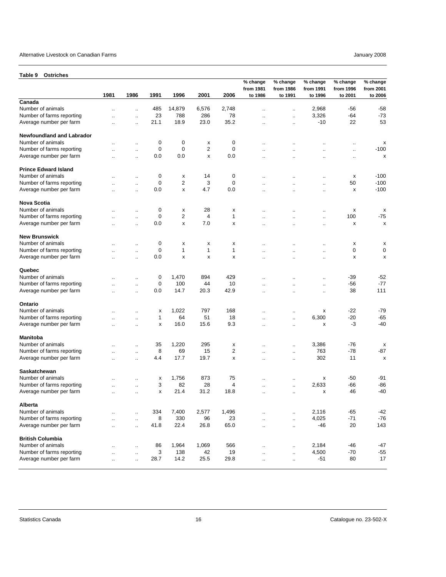<span id="page-15-0"></span>

| <b>Ostriches</b><br>Table 9                          |                      |                      |              |                         |              |              |                                  |                                  |                                  |                                  |                                  |
|------------------------------------------------------|----------------------|----------------------|--------------|-------------------------|--------------|--------------|----------------------------------|----------------------------------|----------------------------------|----------------------------------|----------------------------------|
|                                                      | 1981                 | 1986                 | 1991         | 1996                    | 2001         | 2006         | % change<br>from 1981<br>to 1986 | % change<br>from 1986<br>to 1991 | % change<br>from 1991<br>to 1996 | % change<br>from 1996<br>to 2001 | % change<br>from 2001<br>to 2006 |
| Canada                                               |                      |                      |              |                         |              |              |                                  |                                  |                                  |                                  |                                  |
| Number of animals                                    | $\ddot{\phantom{a}}$ | $\ddotsc$            | 485          | 14,879                  | 6,576        | 2,748        | $\ddot{\phantom{a}}$             | $\ddotsc$                        | 2,968                            | -56                              | $-58$                            |
| Number of farms reporting                            | Ω.                   | $\ddotsc$            | 23           | 788                     | 286          | 78           | $\ddotsc$                        | $\ldots$                         | 3,326                            | -64                              | $-73$                            |
| Average number per farm                              |                      | $\ddot{\phantom{a}}$ | 21.1         | 18.9                    | 23.0         | 35.2         | Ω.                               | $\ddot{\phantom{a}}$             | $-10$                            | 22                               | 53                               |
|                                                      |                      |                      |              |                         |              |              |                                  |                                  |                                  |                                  |                                  |
| <b>Newfoundland and Labrador</b>                     |                      |                      |              |                         |              |              |                                  |                                  |                                  |                                  |                                  |
| Number of animals                                    |                      | $\ddot{\phantom{a}}$ | 0            | 0                       | х            | 0            | $\ddotsc$                        | $\ddot{\phantom{a}}$             | $\ddot{\phantom{a}}$             | $\ddotsc$                        | х                                |
| Number of farms reporting                            |                      | $\ddotsc$            | 0            | 0                       | 2            | 0            | $\ddot{\phantom{a}}$             | $\ddot{\phantom{a}}$             | $\ddot{\phantom{a}}$             | $\ddotsc$                        | $-100$                           |
| Average number per farm                              | $\ddot{\phantom{0}}$ | $\ddotsc$            | 0.0          | 0.0                     | X            | 0.0          | $\ddotsc$                        |                                  |                                  | $\ldots$                         | x                                |
| <b>Prince Edward Island</b>                          |                      |                      |              |                         |              |              |                                  |                                  |                                  |                                  |                                  |
| Number of animals                                    |                      | $\ddot{\phantom{a}}$ | 0            | х                       | 14           | 0            | $\ddot{\phantom{a}}$             |                                  | $\ddotsc$                        | х                                | $-100$                           |
| Number of farms reporting                            | $\ddot{\phantom{a}}$ | $\ddot{\phantom{a}}$ | 0            | $\overline{2}$          | 3            | 0            | $\ddot{\phantom{a}}$             | $\ddot{\phantom{a}}$             | $\ddotsc$                        | 50                               | $-100$                           |
| Average number per farm                              | $\ddot{\phantom{a}}$ | $\ddot{\phantom{a}}$ | 0.0          | $\pmb{\times}$          | 4.7          | 0.0          | $\ddot{\phantom{a}}$             | $\ddot{\phantom{a}}$             | $\ddot{\phantom{a}}$             | х                                | $-100$                           |
| <b>Nova Scotia</b>                                   |                      |                      |              |                         |              |              |                                  |                                  |                                  |                                  |                                  |
| Number of animals                                    |                      |                      | 0            | x                       | 28           |              |                                  |                                  |                                  | x                                |                                  |
| Number of farms reporting                            |                      | $\ddotsc$            | $\mathbf 0$  | $\overline{\mathbf{c}}$ | 4            | х<br>1       |                                  |                                  | $\ddotsc$                        | 100                              | x<br>$-75$                       |
| Average number per farm                              | $\ddotsc$            | $\ddotsc$            | 0.0          | $\pmb{\times}$          | 7.0          | x            | $\ddotsc$                        | $\ddotsc$                        | $\ddotsc$                        | x                                | x                                |
|                                                      | $\ddot{\phantom{a}}$ | $\ddot{\phantom{a}}$ |              |                         |              |              | $\ddotsc$                        | $\ddot{\phantom{a}}$             |                                  |                                  |                                  |
| <b>New Brunswick</b>                                 |                      |                      |              |                         |              |              |                                  |                                  |                                  |                                  |                                  |
| Number of animals                                    | ٠.                   | $\ddot{\phantom{a}}$ | 0            | х                       | x            | х            | $\ddotsc$                        | ٠.                               | $\ddotsc$                        | х                                | х                                |
| Number of farms reporting                            |                      | μ.                   | 0            | 1                       | $\mathbf{1}$ | $\mathbf{1}$ |                                  |                                  | $\ddot{\phantom{a}}$             | 0                                | 0                                |
| Average number per farm                              | ٠.                   | $\ddot{\phantom{a}}$ | 0.0          | x                       | x            | x            | $\ddotsc$                        | $\ddotsc$                        | $\ddotsc$                        | x                                | x                                |
| Quebec                                               |                      |                      |              |                         |              |              |                                  |                                  |                                  |                                  |                                  |
| Number of animals                                    |                      | $\ddotsc$            | 0            | 1,470                   | 894          | 429          | $\ddot{\phantom{a}}$             | $\ddotsc$                        | $\ddotsc$                        | -39                              | $-52$                            |
| Number of farms reporting                            |                      | $\ddotsc$            | 0            | 100                     | 44           | 10           | $\ddotsc$                        | $\ddotsc$                        | $\ddotsc$                        | -56                              | $-77$                            |
| Average number per farm                              |                      | $\ddotsc$            | 0.0          | 14.7                    | 20.3         | 42.9         | $\cdot$ .                        | $\ddotsc$                        | $\ddotsc$                        | 38                               | 111                              |
|                                                      |                      |                      |              |                         |              |              |                                  |                                  |                                  |                                  |                                  |
| Ontario                                              |                      |                      |              |                         |              |              |                                  |                                  |                                  |                                  |                                  |
| Number of animals                                    | $\ddot{\phantom{a}}$ | $\ddot{\phantom{a}}$ | х            | 1,022                   | 797          | 168          | $\sim$                           | $\ddot{\phantom{a}}$             | x                                | $-22$                            | $-79$                            |
| Number of farms reporting                            | $\ddot{\phantom{a}}$ | $\ddotsc$            | $\mathbf{1}$ | 64                      | 51           | 18           | $\ddot{\phantom{a}}$             | $\ddotsc$                        | 6,300                            | $-20$                            | $-65$                            |
| Average number per farm                              | ٠.                   | $\ddot{\phantom{a}}$ | x            | 16.0                    | 15.6         | 9.3          | $\ddot{\phantom{a}}$             | $\ddot{\phantom{a}}$             | х                                | -3                               | $-40$                            |
| <b>Manitoba</b>                                      |                      |                      |              |                         |              |              |                                  |                                  |                                  |                                  |                                  |
| Number of animals                                    |                      | $\ddot{\phantom{a}}$ | 35           | 1,220                   | 295          | х            | ٠.                               | $\ddot{\phantom{a}}$             | 3,386                            | $-76$                            | x                                |
| Number of farms reporting                            |                      | $\ddot{\phantom{a}}$ | 8            | 69                      | 15           | 2            | $\ddotsc$                        | $\ddotsc$                        | 763                              | $-78$                            | -87                              |
| Average number per farm                              | $\ddotsc$            | $\ddotsc$            | 4.4          | 17.7                    | 19.7         | x            | $\ddotsc$                        | $\cdot$ .                        | 302                              | 11                               | x                                |
| <b>Saskatchewan</b>                                  |                      |                      |              |                         |              |              |                                  |                                  |                                  |                                  |                                  |
| Number of animals                                    | μ.                   | Ω.                   | х            | 1,756                   | 873          | 75           |                                  | $\ldots$                         | х                                | -50                              | -91                              |
| Number of farms reporting                            |                      | $\ddot{\phantom{a}}$ | 3            | 82                      | 28           | 4            | $\ddot{\phantom{a}}$             | $\ddot{\phantom{1}}$             | 2,633                            | -66                              | -86                              |
| Average number per farm                              | $\ddotsc$            | $\ddot{\phantom{a}}$ | x            | 21.4                    | 31.2         | 18.8         | $\ddotsc$                        | $\ddot{\phantom{a}}$             | x                                | 46                               | $-40$                            |
| Alberta                                              |                      |                      |              |                         |              |              |                                  |                                  |                                  |                                  |                                  |
| Number of animals                                    |                      |                      | 334          | 7,400                   | 2,577        | 1,496        |                                  |                                  | 2,116                            | $-65$                            | $-42$                            |
|                                                      |                      | $\ldots$             |              | 330                     |              |              | $\ddot{\phantom{a}}$             | $\ddotsc$                        | 4,025                            |                                  | $-76$                            |
| Number of farms reporting<br>Average number per farm |                      | $\ldots$             | 8<br>41.8    | 22.4                    | 96<br>26.8   | 23<br>65.0   | $\ddotsc$                        | $\ldots$                         | -46                              | $-71$<br>20                      | 143                              |
|                                                      |                      | $\ddot{\phantom{a}}$ |              |                         |              |              | $\ddotsc$                        | $\ldots$                         |                                  |                                  |                                  |
| <b>British Columbia</b>                              |                      |                      |              |                         |              |              |                                  |                                  |                                  |                                  |                                  |
| Number of animals                                    | $\ddotsc$            | $\ldots$             | 86           | 1,964                   | 1,069        | 566          | $\ddot{\phantom{1}}$             | $\ldots$                         | 2,184                            | $-46$                            | $-47$                            |
| Number of farms reporting                            | $\ddotsc$            | $\ldots$             | 3            | 138                     | 42           | 19           | $\ldots$                         | $\ldots$                         | 4,500                            | $-70$                            | $-55$                            |
| Average number per farm                              | $\ddotsc$            | $\ddotsc$            | 28.7         | 14.2                    | 25.5         | 29.8         | $\ldots$                         | $\ldots$                         | $-51$                            | 80                               | 17                               |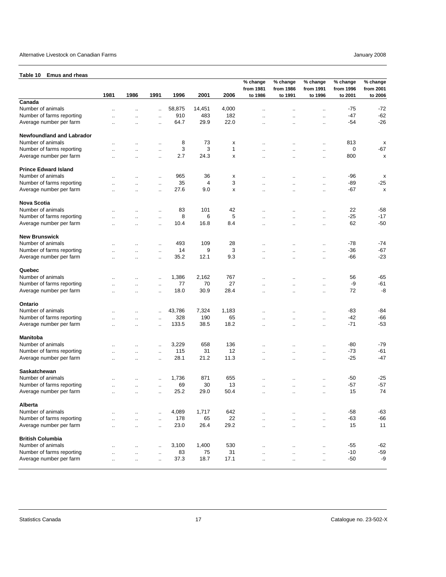#### <span id="page-16-0"></span>**Table 10 Emus and rheas**

| TUNIV TV<br><b>EURO GUA LUCAS</b> |                      |                      |                      |        |        |       | % change<br>from 1981 | % change<br>from 1986 | % change<br>from 1991 | % change<br>from 1996 | % change<br>from 2001 |
|-----------------------------------|----------------------|----------------------|----------------------|--------|--------|-------|-----------------------|-----------------------|-----------------------|-----------------------|-----------------------|
|                                   | 1981                 | 1986                 | 1991                 | 1996   | 2001   | 2006  | to 1986               | to 1991               | to 1996               | to 2001               | to 2006               |
| Canada                            |                      |                      |                      |        |        |       |                       |                       |                       |                       |                       |
| Number of animals                 |                      |                      | $\ddotsc$            | 58,875 | 14,451 | 4,000 | $\ddotsc$             |                       | $\ddotsc$             | -75                   | $-72$                 |
| Number of farms reporting         |                      | $\ddot{\phantom{a}}$ | $\ddotsc$            | 910    | 483    | 182   |                       |                       | $\ddotsc$             | $-47$                 | $-62$                 |
| Average number per farm           | $\ddot{\phantom{a}}$ | $\ddotsc$            | $\ddotsc$            | 64.7   | 29.9   | 22.0  | $\ddot{\phantom{a}}$  | $\ddot{\phantom{a}}$  | $\ddotsc$             | $-54$                 | $-26$                 |
| <b>Newfoundland and Labrador</b>  |                      |                      |                      |        |        |       |                       |                       |                       |                       |                       |
| Number of animals                 |                      | $\cdot$ .            | $\ddotsc$            | 8      | 73     | х     | ٠.                    | ٠.                    | $\ldots$              | 813                   | x                     |
| Number of farms reporting         |                      | $\ddot{\phantom{a}}$ | $\ddotsc$            | 3      | 3      | 1     |                       |                       | $\ldots$              | 0                     | $-67$                 |
| Average number per farm           | $\ddotsc$            | $\ddot{\phantom{a}}$ | $\ddot{\phantom{a}}$ | 2.7    | 24.3   | x     | $\ddotsc$             | ٠.                    | $\ddotsc$             | 800                   | x                     |
| <b>Prince Edward Island</b>       |                      |                      |                      |        |        |       |                       |                       |                       |                       |                       |
| Number of animals                 |                      |                      | $\ddot{\phantom{a}}$ | 965    | 36     | х     |                       |                       | $\ldots$              | $-96$                 | x                     |
| Number of farms reporting         |                      | $\ddot{\phantom{a}}$ | $\ddotsc$            | 35     | 4      | 3     |                       |                       | $\ldots$              | -89                   | $-25$                 |
| Average number per farm           |                      |                      | $\ddotsc$            | 27.6   | 9.0    | x     | ٠.                    |                       | $\ddotsc$             | $-67$                 | x                     |
| Nova Scotia                       |                      |                      |                      |        |        |       |                       |                       |                       |                       |                       |
| Number of animals                 |                      | $\ddot{\phantom{0}}$ | $\ddotsc$            | 83     | 101    | 42    | $\ddotsc$             | $\ddot{\phantom{a}}$  | $\ddotsc$             | 22                    | $-58$                 |
| Number of farms reporting         |                      | $\ddotsc$            | $\ddotsc$            | 8      | 6      | 5     |                       | $\ddot{\phantom{a}}$  | $\ddotsc$             | $-25$                 | $-17$                 |
| Average number per farm           |                      | $\ddotsc$            | $\ddotsc$            | 10.4   | 16.8   | 8.4   |                       |                       | $\cdot$ .             | 62                    | $-50$                 |
| <b>New Brunswick</b>              |                      |                      |                      |        |        |       |                       |                       |                       |                       |                       |
| Number of animals                 |                      |                      | $\ddot{\phantom{a}}$ | 493    | 109    | 28    | $\ddot{\phantom{a}}$  | $\ddot{\phantom{a}}$  | $\ddotsc$             | -78                   | -74                   |
| Number of farms reporting         |                      | $\ddot{\phantom{a}}$ | $\ddotsc$            | 14     | 9      | 3     |                       | $\ddot{\phantom{a}}$  | $\ddotsc$             | $-36$                 | $-67$                 |
| Average number per farm           |                      | $\ddot{\phantom{0}}$ | $\cdot$              | 35.2   | 12.1   | 9.3   | ٠.                    | $\ddot{\phantom{0}}$  | $\ddotsc$             | $-66$                 | $-23$                 |
| Quebec                            |                      |                      |                      |        |        |       |                       |                       |                       |                       |                       |
| Number of animals                 |                      |                      | $\ddotsc$            | 1,386  | 2,162  | 767   |                       |                       | $\ddot{\phantom{1}}$  | 56                    | $-65$                 |
| Number of farms reporting         |                      | $\ddotsc$            | $\ddotsc$            | 77     | 70     | 27    |                       |                       | $\ddotsc$             | -9                    | -61                   |
| Average number per farm           |                      | $\ddotsc$            | $\ddot{\phantom{0}}$ | 18.0   | 30.9   | 28.4  | ٠.                    | ٠.                    | $\ddotsc$             | 72                    | -8                    |
| Ontario                           |                      |                      |                      |        |        |       |                       |                       |                       |                       |                       |
| Number of animals                 |                      |                      | $\ddotsc$            | 43,786 | 7,324  | 1,183 |                       |                       | $\ddotsc$             | $-83$                 | -84                   |
| Number of farms reporting         |                      | $\ldots$             | $\ddotsc$            | 328    | 190    | 65    | $\ddot{\phantom{a}}$  | ٠.                    | $\ddotsc$             | $-42$                 | $-66$                 |
| Average number per farm           | $\ddot{\phantom{a}}$ | $\ddot{\phantom{a}}$ | $\ddotsc$            | 133.5  | 38.5   | 18.2  | $\ddot{\phantom{a}}$  |                       | $\ddotsc$             | $-71$                 | $-53$                 |
| Manitoba                          |                      |                      |                      |        |        |       |                       |                       |                       |                       |                       |
| Number of animals                 |                      |                      | $\ddotsc$            | 3,229  | 658    | 136   |                       |                       |                       | -80                   | $-79$                 |
| Number of farms reporting         |                      | $\ddotsc$            | $\ddotsc$            | 115    | 31     | 12    |                       |                       | $\ddotsc$             | $-73$                 | $-61$                 |
| Average number per farm           | Ω.                   | $\ddot{\phantom{a}}$ | $\ddotsc$            | 28.1   | 21.2   | 11.3  | $\ddot{\phantom{a}}$  | ٠.                    | $\ddotsc$             | $-25$                 | $-47$                 |
| Saskatchewan                      |                      |                      |                      |        |        |       |                       |                       |                       |                       |                       |
| Number of animals                 |                      | $\ddot{\phantom{0}}$ |                      | 1,736  | 871    | 655   |                       | ٠.                    | $\cdot$ .             | -50                   | $-25$                 |
| Number of farms reporting         |                      | $\ddotsc$            | $\ddotsc$            | 69     | 30     | 13    |                       |                       | $\cdot$ .             | $-57$                 | $-57$                 |
| Average number per farm           |                      | $\ddotsc$            | $\ddotsc$            | 25.2   | 29.0   | 50.4  | $\ddot{\phantom{a}}$  | .,                    | $\cdot$ .             | 15                    | 74                    |
| Alberta                           |                      |                      |                      |        |        |       |                       |                       |                       |                       |                       |
| Number of animals                 |                      |                      | $\ddot{\phantom{a}}$ | 4,089  | 1,717  | 642   | $\ddot{\phantom{a}}$  |                       | $\ddotsc$             | $-58$                 | $-63$                 |
| Number of farms reporting         | $\ddot{\phantom{a}}$ | $\ddot{\phantom{a}}$ | $\mathbf{r}$ .       | 178    | 65     | 22    | $\ddot{\phantom{a}}$  | $\ddot{\phantom{a}}$  | $\ddot{\phantom{a}}$  | $-63$                 | $-66$                 |
| Average number per farm           | $\ddot{\phantom{a}}$ | $\ddotsc$            | $\ddotsc$            | 23.0   | 26.4   | 29.2  | $\ddot{\phantom{a}}$  | Ω.                    | $\ddotsc$             | 15                    | 11                    |
| <b>British Columbia</b>           |                      |                      |                      |        |        |       |                       |                       |                       |                       |                       |
| Number of animals                 | $\ddotsc$            | $\ddotsc$            | ä.                   | 3,100  | 1,400  | 530   | $\ddot{\phantom{a}}$  | ä,                    | $\cdot$ .             | -55                   | -62                   |
| Number of farms reporting         | $\ddotsc$            | $\ddotsc$            | $\cdot$ .            | 83     | 75     | 31    | $\ddotsc$             | ٠.                    | $\cdot$ .             | $-10$                 | $-59$                 |
| Average number per farm           | $\ddotsc$            | $\ldots$             | $\cdot$ .            | 37.3   | 18.7   | 17.1  | $\ddotsc$             | $\ddot{\phantom{0}}$  | $\cdot$ .             | $-50$                 | -9                    |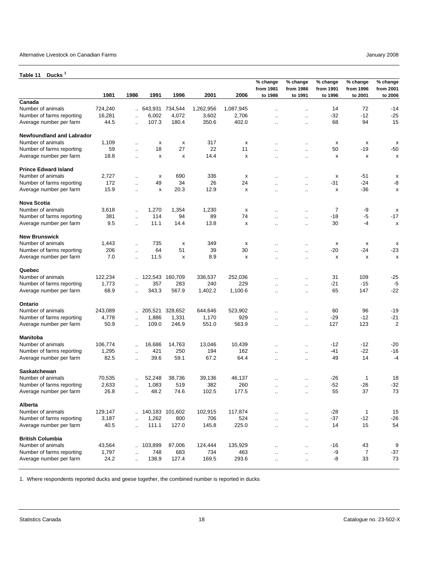### <span id="page-17-0"></span>**Table 11 Ducks <sup>1</sup>**

|                                  | 1981    | 1986                 | 1991            | 1996    | 2001      | 2006      | % change<br>from 1981<br>to 1986 | % change<br>from 1986<br>to 1991 | % change<br>from 1991<br>to 1996 | % change<br>from 1996<br>to 2001 | % change<br>from 2001<br>to 2006 |
|----------------------------------|---------|----------------------|-----------------|---------|-----------|-----------|----------------------------------|----------------------------------|----------------------------------|----------------------------------|----------------------------------|
| Canada                           |         |                      |                 |         |           |           |                                  |                                  |                                  |                                  |                                  |
| Number of animals                | 724,240 |                      | 643,931         | 734,544 | 1,262,956 | 1,087,945 | ä.                               | $\ddotsc$                        | 14                               | 72                               | -14                              |
| Number of farms reporting        | 16,281  | $\ddot{\phantom{a}}$ | 6,002           | 4,072   | 3,602     | 2,706     | $\ddotsc$                        | $\mathbf{r}$ .                   | $-32$                            | $-12$                            | $-25$                            |
| Average number per farm          | 44.5    | $\ddot{\phantom{a}}$ | 107.3           | 180.4   | 350.6     | 402.0     | $\ddot{\phantom{a}}$             | $\ddot{\phantom{a}}$             | 68                               | 94                               | 15                               |
| <b>Newfoundland and Labrador</b> |         |                      |                 |         |           |           |                                  |                                  |                                  |                                  |                                  |
| Number of animals                | 1,109   | ä.                   | х               | х       | 317       | x         |                                  | ٠.                               | х                                | х                                | x                                |
| Number of farms reporting        | 59      | ٠.                   | 18              | 27      | 22        | 11        |                                  | μ.                               | 50                               | $-19$                            | $-50$                            |
| Average number per farm          | 18.8    | $\ddot{\phantom{a}}$ | x               | x       | 14.4      | X         | $\ddotsc$                        | $\ddotsc$                        | X                                | X                                | X                                |
| <b>Prince Edward Island</b>      |         |                      |                 |         |           |           |                                  |                                  |                                  |                                  |                                  |
| Number of animals                | 2,727   | Ω.                   | х               | 690     | 336       | х         | $\ddotsc$                        | μ.                               | x                                | $-51$                            | х                                |
| Number of farms reporting        | 172     |                      | 49              | 34      | 26        | 24        |                                  | $\ddot{\phantom{0}}$             | $-31$                            | $-24$                            | -8                               |
| Average number per farm          | 15.9    | ä.                   | x               | 20.3    | 12.9      | X         | Ω.                               | ä.                               | X                                | $-36$                            | X                                |
| <b>Nova Scotia</b>               |         |                      |                 |         |           |           |                                  |                                  |                                  |                                  |                                  |
| Number of animals                | 3,618   | Ω.                   | 1,270           | 1,354   | 1,230     | х         | $\ddot{\phantom{a}}$             | $\ddot{\phantom{a}}$             | $\overline{7}$                   | -9                               | x                                |
| Number of farms reporting        | 381     | $\ddot{\phantom{a}}$ | 114             | 94      | 89        | 74        | ä.                               | μ.                               | $-18$                            | -5                               | $-17$                            |
| Average number per farm          | 9.5     | ä.                   | 11.1            | 14.4    | 13.8      | x         | $\ddotsc$                        | ٠.                               | 30                               | $-4$                             | х                                |
| <b>New Brunswick</b>             |         |                      |                 |         |           |           |                                  |                                  |                                  |                                  |                                  |
| Number of animals                | 1,443   | $\ddot{\phantom{a}}$ | 735             | x       | 349       | X         |                                  | ٠.                               | x                                | х                                | х                                |
| Number of farms reporting        | 206     | $\ddot{\phantom{a}}$ | 64              | 51      | 39        | 30        | $\ddot{\phantom{a}}$             | $\ddot{\phantom{a}}$             | $-20$                            | -24                              | $-23$                            |
| Average number per farm          | 7.0     | $\ddot{\phantom{a}}$ | 11.5            | x       | 8.9       | x         | $\ddotsc$                        | $\ddotsc$                        | x                                | x                                | x                                |
| Quebec                           |         |                      |                 |         |           |           |                                  |                                  |                                  |                                  |                                  |
| Number of animals                | 122,234 | a.                   | 122,543         | 160,709 | 336,537   | 252,036   |                                  | $\ddot{\phantom{a}}$             | 31                               | 109                              | $-25$                            |
| Number of farms reporting        | 1,773   | $\ddot{\phantom{a}}$ | 357             | 283     | 240       | 229       | $\cdot$ .                        | $\ddotsc$                        | $-21$                            | $-15$                            | $-5$                             |
| Average number per farm          | 68.9    | $\ddot{\phantom{a}}$ | 343.3           | 567.9   | 1,402.2   | 1,100.6   | $\ddot{\phantom{a}}$             | $\ddot{\phantom{a}}$             | 65                               | 147                              | $-22$                            |
| Ontario                          |         |                      |                 |         |           |           |                                  |                                  |                                  |                                  |                                  |
| Number of animals                | 243,089 |                      | 205,521         | 328,652 | 644,646   | 523,902   |                                  | μ.                               | 60                               | 96                               | $-19$                            |
| Number of farms reporting        | 4,778   | $\ddot{\phantom{a}}$ | 1,886           | 1,331   | 1,170     | 929       |                                  | μ.                               | $-29$                            | $-12$                            | $-21$                            |
| Average number per farm          | 50.9    | $\ddot{\phantom{a}}$ | 109.0           | 246.9   | 551.0     | 563.9     | $\ddot{\phantom{a}}$             | $\mathbf{r}$ .                   | 127                              | 123                              | $\overline{2}$                   |
| <b>Manitoba</b>                  |         |                      |                 |         |           |           |                                  |                                  |                                  |                                  |                                  |
| Number of animals                | 106,774 | $\ddot{\phantom{a}}$ | 16,686          | 14,763  | 13,046    | 10,439    |                                  | $\ddotsc$                        | $-12$                            | $-12$                            | $-20$                            |
| Number of farms reporting        | 1,295   | $\ddotsc$            | 421             | 250     | 194       | 162       | $\ddot{\phantom{0}}$             | $\ldots$                         | -41                              | $-22$                            | $-16$                            |
| Average number per farm          | 82.5    |                      | 39.6            | 59.1    | 67.2      | 64.4      | $\ddot{\phantom{a}}$             | $\mathbf{r}$ .                   | 49                               | 14                               | $-4$                             |
| <b>Saskatchewan</b>              |         |                      |                 |         |           |           |                                  |                                  |                                  |                                  |                                  |
| Number of animals                | 70,535  | $\ddot{\phantom{a}}$ | 52,248          | 38,736  | 39,136    | 46,137    | $\ddot{\phantom{a}}$             | $\ddot{\phantom{a}}$             | $-26$                            | 1                                | 18                               |
| Number of farms reporting        | 2,633   | ٠.                   | 1,083           | 519     | 382       | 260       |                                  | $\ddot{\phantom{0}}$             | $-52$                            | $-26$                            | $-32$                            |
| Average number per farm          | 26.8    | $\ddot{\phantom{a}}$ | 48.2            | 74.6    | 102.5     | 177.5     | $\ddot{\phantom{a}}$             | $\mathbf{r}$ .                   | 55                               | 37                               | 73                               |
| Alberta                          |         |                      |                 |         |           |           |                                  |                                  |                                  |                                  |                                  |
| Number of animals                | 129,147 |                      | 140,183 101,602 |         | 102,915   | 117,874   |                                  | $\ddotsc$                        | $-28$                            | $\mathbf{1}$                     | 15                               |
| Number of farms reporting        | 3,187   | $\ddot{\phantom{a}}$ | 1,262           | 800     | 706       | 524       | $\ddot{\phantom{a}}$             | $\cdot$ .                        | $-37$                            | $-12$                            | $-26$                            |
| Average number per farm          | 40.5    | $\ddotsc$            | 111.1           | 127.0   | 145.8     | 225.0     | $\ddotsc$                        |                                  | 14                               | 15                               | 54                               |
| <b>British Columbia</b>          |         |                      |                 |         |           |           |                                  |                                  |                                  |                                  |                                  |
| Number of animals                | 43,564  | $\ddotsc$            | 103,899         | 87,006  | 124,444   | 135,929   | $\ddot{\phantom{1}}$             |                                  | $-16$                            | 43                               | 9                                |
| Number of farms reporting        | 1,797   | μ.                   | 748             | 683     | 734       | 463       | $\ddotsc$                        | $\cdot$ .                        | -9                               | 7                                | -37                              |
| Average number per farm          | 24.2    | $\ldots$             | 138.9           | 127.4   | 169.5     | 293.6     | $\ldots$                         | $\cdot$ .                        | -8                               | 33                               | 73                               |

1. Where respondents reported ducks and geese together, the combined number is reported in ducks